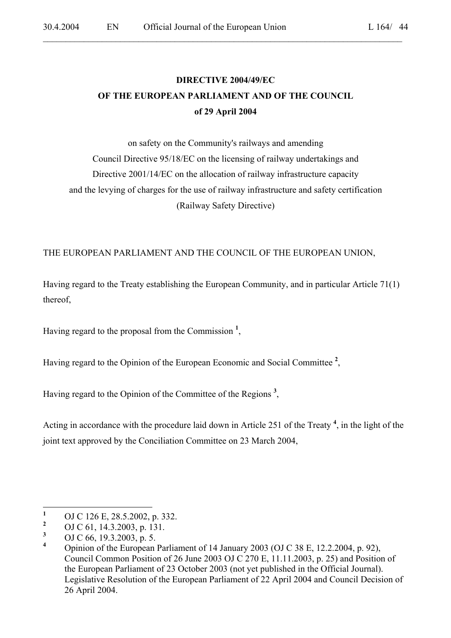# **DIRECTIVE 2004/49/EC OF THE EUROPEAN PARLIAMENT AND OF THE COUNCIL of 29 April 2004**

 $\mathcal{L}_\mathcal{L} = \mathcal{L}_\mathcal{L} = \mathcal{L}_\mathcal{L} = \mathcal{L}_\mathcal{L} = \mathcal{L}_\mathcal{L} = \mathcal{L}_\mathcal{L} = \mathcal{L}_\mathcal{L} = \mathcal{L}_\mathcal{L} = \mathcal{L}_\mathcal{L} = \mathcal{L}_\mathcal{L} = \mathcal{L}_\mathcal{L} = \mathcal{L}_\mathcal{L} = \mathcal{L}_\mathcal{L} = \mathcal{L}_\mathcal{L} = \mathcal{L}_\mathcal{L} = \mathcal{L}_\mathcal{L} = \mathcal{L}_\mathcal{L}$ 

on safety on the Community's railways and amending Council Directive 95/18/EC on the licensing of railway undertakings and Directive 2001/14/EC on the allocation of railway infrastructure capacity and the levying of charges for the use of railway infrastructure and safety certification (Railway Safety Directive)

# THE EUROPEAN PARLIAMENT AND THE COUNCIL OF THE EUROPEAN UNION,

Having regard to the Treaty establishing the European Community, and in particular Article 71(1) thereof,

Having regard to the proposal from the Commission **<sup>1</sup>** ,

Having regard to the Opinion of the European Economic and Social Committee **<sup>2</sup>** ,

Having regard to the Opinion of the Committee of the Regions **<sup>3</sup>** ,

Acting in accordance with the procedure laid down in Article 251 of the Treaty **<sup>4</sup>** , in the light of the joint text approved by the Conciliation Committee on 23 March 2004,

 **1** OJ C 126 E, 28.5.2002, p. 332.

**<sup>2</sup>** OJ C 61, 14.3.2003, p. 131.

**<sup>3</sup>** OJ C 66, 19.3.2003, p. 5.

**<sup>4</sup>** Opinion of the European Parliament of 14 January 2003 (OJ C 38 E, 12.2.2004, p. 92), Council Common Position of 26 June 2003 OJ C 270 E, 11.11.2003, p. 25) and Position of the European Parliament of 23 October 2003 (not yet published in the Official Journal). Legislative Resolution of the European Parliament of 22 April 2004 and Council Decision of 26 April 2004.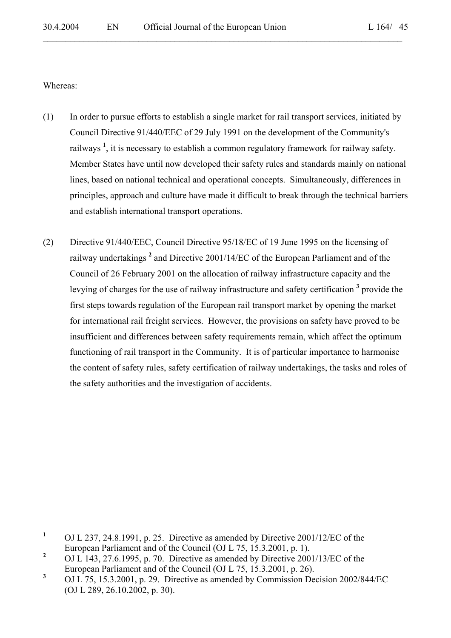Whereas:

- (1) In order to pursue efforts to establish a single market for rail transport services, initiated by Council Directive 91/440/EEC of 29 July 1991 on the development of the Community's railways<sup>1</sup>, it is necessary to establish a common regulatory framework for railway safety. Member States have until now developed their safety rules and standards mainly on national lines, based on national technical and operational concepts. Simultaneously, differences in principles, approach and culture have made it difficult to break through the technical barriers and establish international transport operations.
- (2) Directive 91/440/EEC, Council Directive 95/18/EC of 19 June 1995 on the licensing of railway undertakings<sup>2</sup> and Directive 2001/14/EC of the European Parliament and of the Council of 26 February 2001 on the allocation of railway infrastructure capacity and the levying of charges for the use of railway infrastructure and safety certification<sup>3</sup> provide the first steps towards regulation of the European rail transport market by opening the market for international rail freight services. However, the provisions on safety have proved to be insufficient and differences between safety requirements remain, which affect the optimum functioning of rail transport in the Community. It is of particular importance to harmonise the content of safety rules, safety certification of railway undertakings, the tasks and roles of the safety authorities and the investigation of accidents.

 **1** OJ L 237, 24.8.1991, p. 25. Directive as amended by Directive 2001/12/EC of the European Parliament and of the Council (OJ L 75, 15.3.2001, p. 1). **2**

OJ L 143, 27.6.1995, p. 70. Directive as amended by Directive 2001/13/EC of the European Parliament and of the Council (OJ L 75, 15.3.2001, p. 26).

**<sup>3</sup>** OJ L 75, 15.3.2001, p. 29. Directive as amended by Commission Decision 2002/844/EC (OJ L 289, 26.10.2002, p. 30).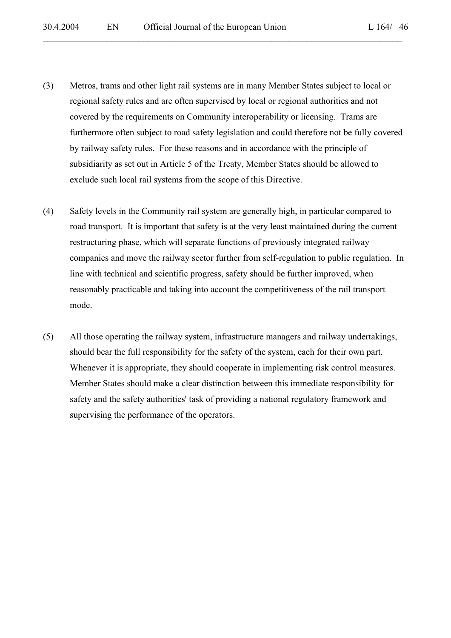- (3) Metros, trams and other light rail systems are in many Member States subject to local or regional safety rules and are often supervised by local or regional authorities and not covered by the requirements on Community interoperability or licensing. Trams are furthermore often subject to road safety legislation and could therefore not be fully covered by railway safety rules. For these reasons and in accordance with the principle of subsidiarity as set out in Article 5 of the Treaty, Member States should be allowed to exclude such local rail systems from the scope of this Directive.
- (4) Safety levels in the Community rail system are generally high, in particular compared to road transport. It is important that safety is at the very least maintained during the current restructuring phase, which will separate functions of previously integrated railway companies and move the railway sector further from self-regulation to public regulation. In line with technical and scientific progress, safety should be further improved, when reasonably practicable and taking into account the competitiveness of the rail transport mode.
- (5) All those operating the railway system, infrastructure managers and railway undertakings, should bear the full responsibility for the safety of the system, each for their own part. Whenever it is appropriate, they should cooperate in implementing risk control measures. Member States should make a clear distinction between this immediate responsibility for safety and the safety authorities' task of providing a national regulatory framework and supervising the performance of the operators.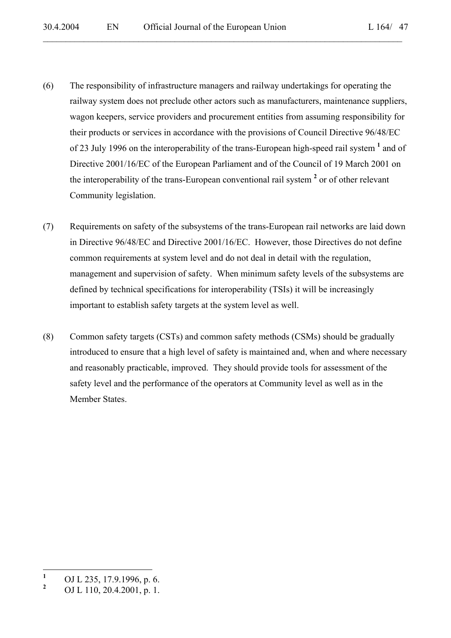- (6) The responsibility of infrastructure managers and railway undertakings for operating the railway system does not preclude other actors such as manufacturers, maintenance suppliers, wagon keepers, service providers and procurement entities from assuming responsibility for their products or services in accordance with the provisions of Council Directive 96/48/EC of 23 July 1996 on the interoperability of the trans-European high-speed rail system <sup>1</sup> and of Directive 2001/16/EC of the European Parliament and of the Council of 19 March 2001 on the interoperability of the trans-European conventional rail system <sup>2</sup> or of other relevant Community legislation.
- (7) Requirements on safety of the subsystems of the trans-European rail networks are laid down in Directive 96/48/EC and Directive 2001/16/EC. However, those Directives do not define common requirements at system level and do not deal in detail with the regulation, management and supervision of safety. When minimum safety levels of the subsystems are defined by technical specifications for interoperability (TSIs) it will be increasingly important to establish safety targets at the system level as well.
- (8) Common safety targets (CSTs) and common safety methods (CSMs) should be gradually introduced to ensure that a high level of safety is maintained and, when and where necessary and reasonably practicable, improved. They should provide tools for assessment of the safety level and the performance of the operators at Community level as well as in the Member States.

 **1** OJ L 235, 17.9.1996, p. 6.

**<sup>2</sup>** OJ L 110, 20.4.2001, p. 1.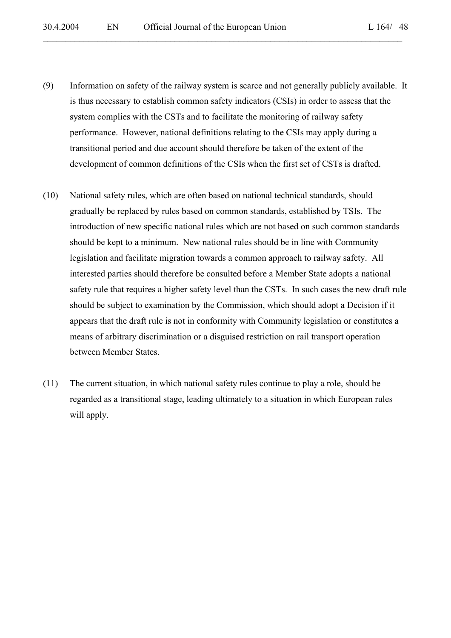- (9) Information on safety of the railway system is scarce and not generally publicly available. It is thus necessary to establish common safety indicators (CSIs) in order to assess that the system complies with the CSTs and to facilitate the monitoring of railway safety performance. However, national definitions relating to the CSIs may apply during a transitional period and due account should therefore be taken of the extent of the development of common definitions of the CSIs when the first set of CSTs is drafted.
- (10) National safety rules, which are often based on national technical standards, should gradually be replaced by rules based on common standards, established by TSIs. The introduction of new specific national rules which are not based on such common standards should be kept to a minimum. New national rules should be in line with Community legislation and facilitate migration towards a common approach to railway safety. All interested parties should therefore be consulted before a Member State adopts a national safety rule that requires a higher safety level than the CSTs. In such cases the new draft rule should be subject to examination by the Commission, which should adopt a Decision if it appears that the draft rule is not in conformity with Community legislation or constitutes a means of arbitrary discrimination or a disguised restriction on rail transport operation between Member States.
- (11) The current situation, in which national safety rules continue to play a role, should be regarded as a transitional stage, leading ultimately to a situation in which European rules will apply.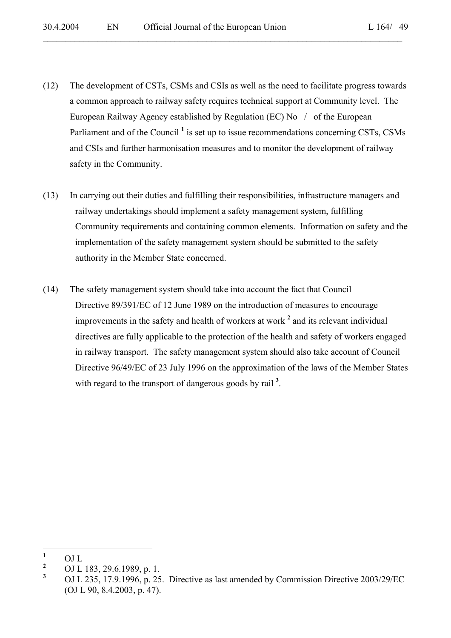(12) The development of CSTs, CSMs and CSIs as well as the need to facilitate progress towards a common approach to railway safety requires technical support at Community level. The European Railway Agency established by Regulation (EC) No / of the European Parliament and of the Council<sup>1</sup> is set up to issue recommendations concerning CSTs, CSMs and CSIs and further harmonisation measures and to monitor the development of railway safety in the Community.

- (13) In carrying out their duties and fulfilling their responsibilities, infrastructure managers and railway undertakings should implement a safety management system, fulfilling Community requirements and containing common elements. Information on safety and the implementation of the safety management system should be submitted to the safety authority in the Member State concerned.
- (14) The safety management system should take into account the fact that Council Directive 89/391/EC of 12 June 1989 on the introduction of measures to encourage improvements in the safety and health of workers at work **<sup>2</sup>** and its relevant individual directives are fully applicable to the protection of the health and safety of workers engaged in railway transport. The safety management system should also take account of Council Directive 96/49/EC of 23 July 1996 on the approximation of the laws of the Member States with regard to the transport of dangerous goods by rail<sup>3</sup>.

 **1** OJ L

**<sup>2</sup>** <sup>2</sup> OJ L 183, 29.6.1989, p. 1.<br>3 OJ L 225, 17.0,1006, p. 25

**<sup>3</sup>** OJ L 235, 17.9.1996, p. 25. Directive as last amended by Commission Directive 2003/29/EC (OJ L 90, 8.4.2003, p. 47).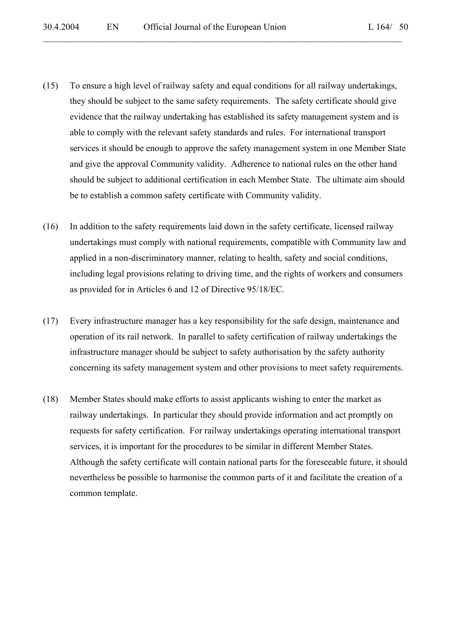- (15) To ensure a high level of railway safety and equal conditions for all railway undertakings, they should be subject to the same safety requirements. The safety certificate should give evidence that the railway undertaking has established its safety management system and is able to comply with the relevant safety standards and rules. For international transport services it should be enough to approve the safety management system in one Member State and give the approval Community validity. Adherence to national rules on the other hand should be subject to additional certification in each Member State. The ultimate aim should be to establish a common safety certificate with Community validity.
- (16) In addition to the safety requirements laid down in the safety certificate, licensed railway undertakings must comply with national requirements, compatible with Community law and applied in a non-discriminatory manner, relating to health, safety and social conditions, including legal provisions relating to driving time, and the rights of workers and consumers as provided for in Articles 6 and 12 of Directive 95/18/EC.
- (17) Every infrastructure manager has a key responsibility for the safe design, maintenance and operation of its rail network. In parallel to safety certification of railway undertakings the infrastructure manager should be subject to safety authorisation by the safety authority concerning its safety management system and other provisions to meet safety requirements.
- (18) Member States should make efforts to assist applicants wishing to enter the market as railway undertakings. In particular they should provide information and act promptly on requests for safety certification. For railway undertakings operating international transport services, it is important for the procedures to be similar in different Member States. Although the safety certificate will contain national parts for the foreseeable future, it should nevertheless be possible to harmonise the common parts of it and facilitate the creation of a common template.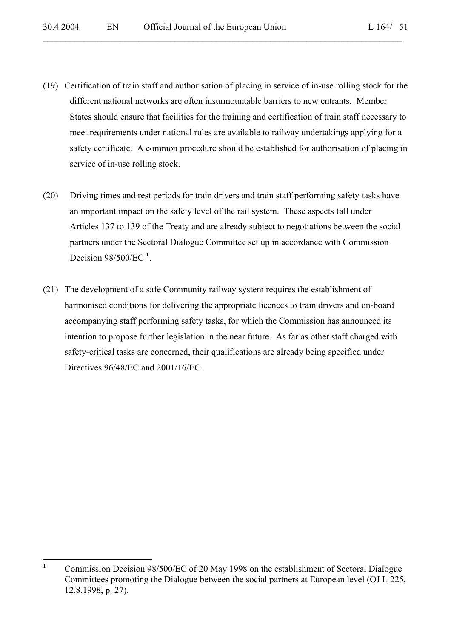(19) Certification of train staff and authorisation of placing in service of in-use rolling stock for the different national networks are often insurmountable barriers to new entrants. Member States should ensure that facilities for the training and certification of train staff necessary to meet requirements under national rules are available to railway undertakings applying for a safety certificate. A common procedure should be established for authorisation of placing in service of in-use rolling stock.

- (20) Driving times and rest periods for train drivers and train staff performing safety tasks have an important impact on the safety level of the rail system. These aspects fall under Articles 137 to 139 of the Treaty and are already subject to negotiations between the social partners under the Sectoral Dialogue Committee set up in accordance with Commission Decision 98/500/EC **<sup>1</sup>** .
- (21) The development of a safe Community railway system requires the establishment of harmonised conditions for delivering the appropriate licences to train drivers and on-board accompanying staff performing safety tasks, for which the Commission has announced its intention to propose further legislation in the near future. As far as other staff charged with safety-critical tasks are concerned, their qualifications are already being specified under Directives 96/48/EC and 2001/16/EC.

 $\mathbf{1}$ **<sup>1</sup>** Commission Decision 98/500/EC of 20 May 1998 on the establishment of Sectoral Dialogue Committees promoting the Dialogue between the social partners at European level (OJ L 225, 12.8.1998, p. 27).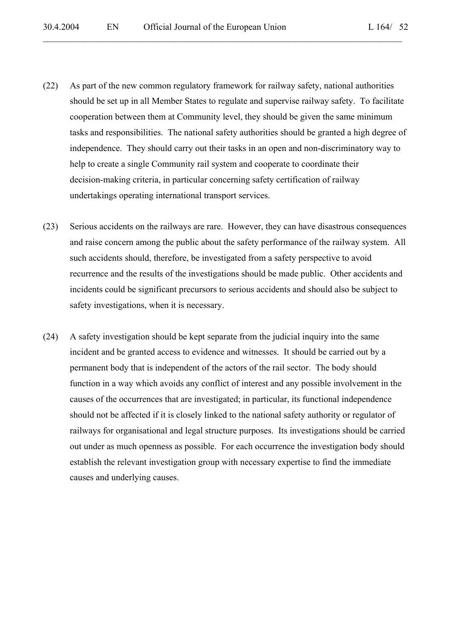- (22) As part of the new common regulatory framework for railway safety, national authorities should be set up in all Member States to regulate and supervise railway safety. To facilitate cooperation between them at Community level, they should be given the same minimum tasks and responsibilities. The national safety authorities should be granted a high degree of independence. They should carry out their tasks in an open and non-discriminatory way to help to create a single Community rail system and cooperate to coordinate their decision-making criteria, in particular concerning safety certification of railway undertakings operating international transport services.
- (23) Serious accidents on the railways are rare. However, they can have disastrous consequences and raise concern among the public about the safety performance of the railway system. All such accidents should, therefore, be investigated from a safety perspective to avoid recurrence and the results of the investigations should be made public. Other accidents and incidents could be significant precursors to serious accidents and should also be subject to safety investigations, when it is necessary.
- (24) A safety investigation should be kept separate from the judicial inquiry into the same incident and be granted access to evidence and witnesses. It should be carried out by a permanent body that is independent of the actors of the rail sector. The body should function in a way which avoids any conflict of interest and any possible involvement in the causes of the occurrences that are investigated; in particular, its functional independence should not be affected if it is closely linked to the national safety authority or regulator of railways for organisational and legal structure purposes. Its investigations should be carried out under as much openness as possible. For each occurrence the investigation body should establish the relevant investigation group with necessary expertise to find the immediate causes and underlying causes.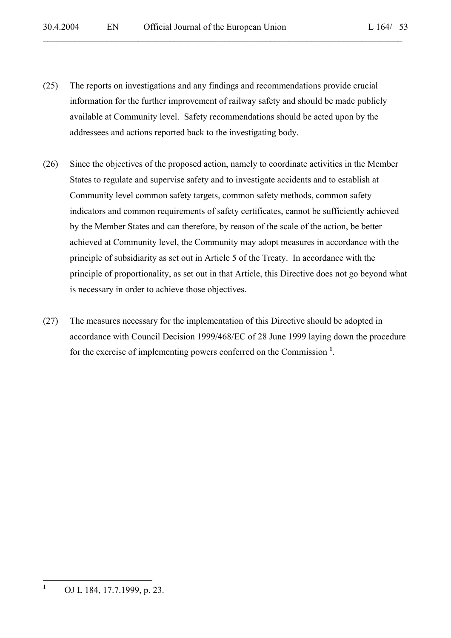(25) The reports on investigations and any findings and recommendations provide crucial information for the further improvement of railway safety and should be made publicly available at Community level. Safety recommendations should be acted upon by the addressees and actions reported back to the investigating body.

- (26) Since the objectives of the proposed action, namely to coordinate activities in the Member States to regulate and supervise safety and to investigate accidents and to establish at Community level common safety targets, common safety methods, common safety indicators and common requirements of safety certificates, cannot be sufficiently achieved by the Member States and can therefore, by reason of the scale of the action, be better achieved at Community level, the Community may adopt measures in accordance with the principle of subsidiarity as set out in Article 5 of the Treaty. In accordance with the principle of proportionality, as set out in that Article, this Directive does not go beyond what is necessary in order to achieve those objectives.
- (27) The measures necessary for the implementation of this Directive should be adopted in accordance with Council Decision 1999/468/EC of 28 June 1999 laying down the procedure for the exercise of implementing powers conferred on the Commission **<sup>1</sup>** .

 **1** OJ L 184, 17.7.1999, p. 23.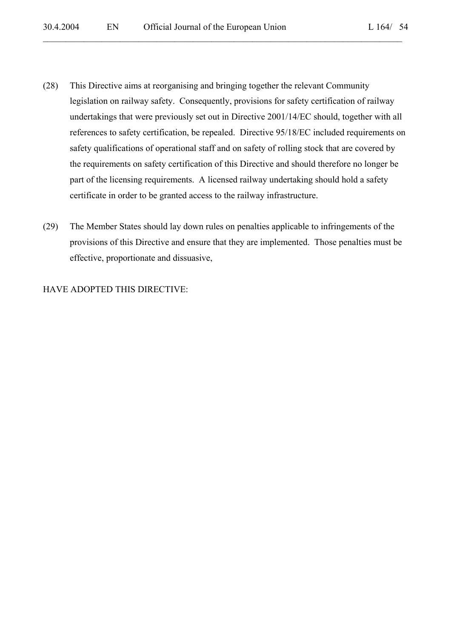(28) This Directive aims at reorganising and bringing together the relevant Community legislation on railway safety. Consequently, provisions for safety certification of railway undertakings that were previously set out in Directive 2001/14/EC should, together with all references to safety certification, be repealed. Directive 95/18/EC included requirements on safety qualifications of operational staff and on safety of rolling stock that are covered by the requirements on safety certification of this Directive and should therefore no longer be part of the licensing requirements. A licensed railway undertaking should hold a safety certificate in order to be granted access to the railway infrastructure.

 $\mathcal{L}_\mathcal{L} = \mathcal{L}_\mathcal{L} = \mathcal{L}_\mathcal{L} = \mathcal{L}_\mathcal{L} = \mathcal{L}_\mathcal{L} = \mathcal{L}_\mathcal{L} = \mathcal{L}_\mathcal{L} = \mathcal{L}_\mathcal{L} = \mathcal{L}_\mathcal{L} = \mathcal{L}_\mathcal{L} = \mathcal{L}_\mathcal{L} = \mathcal{L}_\mathcal{L} = \mathcal{L}_\mathcal{L} = \mathcal{L}_\mathcal{L} = \mathcal{L}_\mathcal{L} = \mathcal{L}_\mathcal{L} = \mathcal{L}_\mathcal{L}$ 

(29) The Member States should lay down rules on penalties applicable to infringements of the provisions of this Directive and ensure that they are implemented. Those penalties must be effective, proportionate and dissuasive,

#### HAVE ADOPTED THIS DIRECTIVE: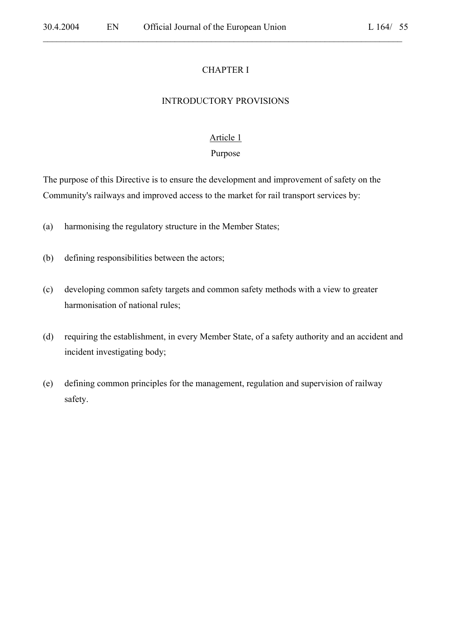#### CHAPTER I

 $\mathcal{L}_\mathcal{L} = \mathcal{L}_\mathcal{L} = \mathcal{L}_\mathcal{L} = \mathcal{L}_\mathcal{L} = \mathcal{L}_\mathcal{L} = \mathcal{L}_\mathcal{L} = \mathcal{L}_\mathcal{L} = \mathcal{L}_\mathcal{L} = \mathcal{L}_\mathcal{L} = \mathcal{L}_\mathcal{L} = \mathcal{L}_\mathcal{L} = \mathcal{L}_\mathcal{L} = \mathcal{L}_\mathcal{L} = \mathcal{L}_\mathcal{L} = \mathcal{L}_\mathcal{L} = \mathcal{L}_\mathcal{L} = \mathcal{L}_\mathcal{L}$ 

#### INTRODUCTORY PROVISIONS

#### Article 1

#### Purpose

The purpose of this Directive is to ensure the development and improvement of safety on the Community's railways and improved access to the market for rail transport services by:

- (a) harmonising the regulatory structure in the Member States;
- (b) defining responsibilities between the actors;
- (c) developing common safety targets and common safety methods with a view to greater harmonisation of national rules;
- (d) requiring the establishment, in every Member State, of a safety authority and an accident and incident investigating body;
- (e) defining common principles for the management, regulation and supervision of railway safety.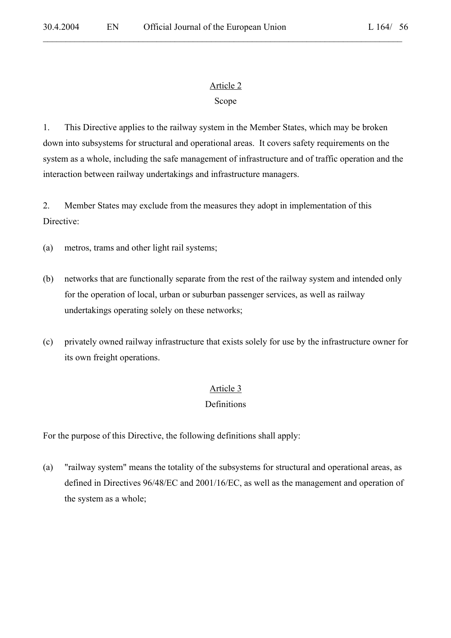# Article 2

 $\mathcal{L}_\mathcal{L} = \mathcal{L}_\mathcal{L} = \mathcal{L}_\mathcal{L} = \mathcal{L}_\mathcal{L} = \mathcal{L}_\mathcal{L} = \mathcal{L}_\mathcal{L} = \mathcal{L}_\mathcal{L} = \mathcal{L}_\mathcal{L} = \mathcal{L}_\mathcal{L} = \mathcal{L}_\mathcal{L} = \mathcal{L}_\mathcal{L} = \mathcal{L}_\mathcal{L} = \mathcal{L}_\mathcal{L} = \mathcal{L}_\mathcal{L} = \mathcal{L}_\mathcal{L} = \mathcal{L}_\mathcal{L} = \mathcal{L}_\mathcal{L}$ 

# Scope

1. This Directive applies to the railway system in the Member States, which may be broken down into subsystems for structural and operational areas. It covers safety requirements on the system as a whole, including the safe management of infrastructure and of traffic operation and the interaction between railway undertakings and infrastructure managers.

2. Member States may exclude from the measures they adopt in implementation of this Directive:

(a) metros, trams and other light rail systems;

- (b) networks that are functionally separate from the rest of the railway system and intended only for the operation of local, urban or suburban passenger services, as well as railway undertakings operating solely on these networks;
- (c) privately owned railway infrastructure that exists solely for use by the infrastructure owner for its own freight operations.

# Article 3

# **Definitions**

For the purpose of this Directive, the following definitions shall apply:

(a) "railway system" means the totality of the subsystems for structural and operational areas, as defined in Directives 96/48/EC and 2001/16/EC, as well as the management and operation of the system as a whole;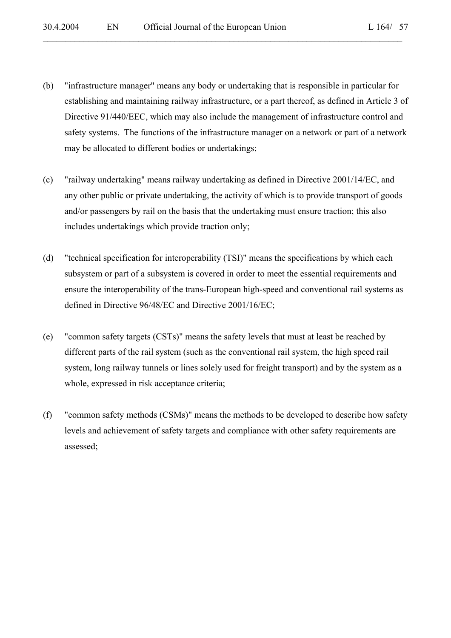(b) "infrastructure manager" means any body or undertaking that is responsible in particular for establishing and maintaining railway infrastructure, or a part thereof, as defined in Article 3 of Directive 91/440/EEC, which may also include the management of infrastructure control and safety systems. The functions of the infrastructure manager on a network or part of a network may be allocated to different bodies or undertakings;

- (c) "railway undertaking" means railway undertaking as defined in Directive 2001/14/EC, and any other public or private undertaking, the activity of which is to provide transport of goods and/or passengers by rail on the basis that the undertaking must ensure traction; this also includes undertakings which provide traction only;
- (d) "technical specification for interoperability (TSI)" means the specifications by which each subsystem or part of a subsystem is covered in order to meet the essential requirements and ensure the interoperability of the trans-European high-speed and conventional rail systems as defined in Directive 96/48/EC and Directive 2001/16/EC;
- (e) "common safety targets (CSTs)" means the safety levels that must at least be reached by different parts of the rail system (such as the conventional rail system, the high speed rail system, long railway tunnels or lines solely used for freight transport) and by the system as a whole, expressed in risk acceptance criteria;
- (f) "common safety methods (CSMs)" means the methods to be developed to describe how safety levels and achievement of safety targets and compliance with other safety requirements are assessed;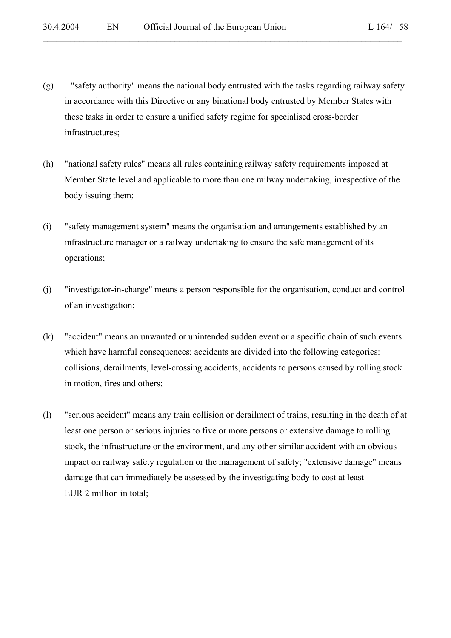(g) "safety authority" means the national body entrusted with the tasks regarding railway safety in accordance with this Directive or any binational body entrusted by Member States with these tasks in order to ensure a unified safety regime for specialised cross-border infrastructures;

- (h) "national safety rules" means all rules containing railway safety requirements imposed at Member State level and applicable to more than one railway undertaking, irrespective of the body issuing them;
- (i) "safety management system" means the organisation and arrangements established by an infrastructure manager or a railway undertaking to ensure the safe management of its operations;
- (j) "investigator-in-charge" means a person responsible for the organisation, conduct and control of an investigation;
- (k) "accident" means an unwanted or unintended sudden event or a specific chain of such events which have harmful consequences; accidents are divided into the following categories: collisions, derailments, level-crossing accidents, accidents to persons caused by rolling stock in motion, fires and others;
- (l) "serious accident" means any train collision or derailment of trains, resulting in the death of at least one person or serious injuries to five or more persons or extensive damage to rolling stock, the infrastructure or the environment, and any other similar accident with an obvious impact on railway safety regulation or the management of safety; "extensive damage" means damage that can immediately be assessed by the investigating body to cost at least EUR 2 million in total;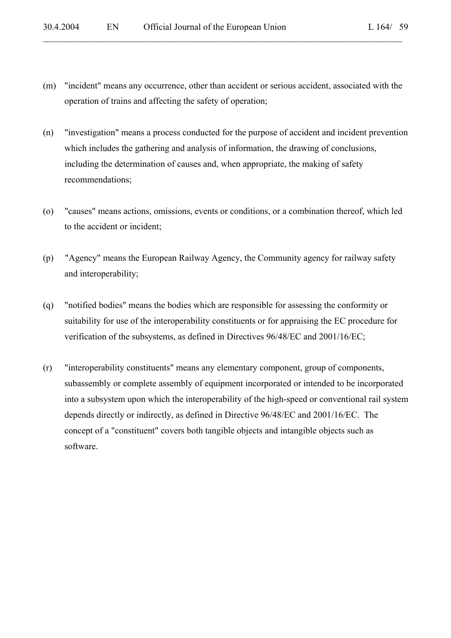(m) "incident" means any occurrence, other than accident or serious accident, associated with the operation of trains and affecting the safety of operation;

- (n) "investigation" means a process conducted for the purpose of accident and incident prevention which includes the gathering and analysis of information, the drawing of conclusions, including the determination of causes and, when appropriate, the making of safety recommendations;
- (o) "causes" means actions, omissions, events or conditions, or a combination thereof, which led to the accident or incident;
- (p) "Agency" means the European Railway Agency, the Community agency for railway safety and interoperability;
- (q) "notified bodies" means the bodies which are responsible for assessing the conformity or suitability for use of the interoperability constituents or for appraising the EC procedure for verification of the subsystems, as defined in Directives 96/48/EC and 2001/16/EC;
- (r) "interoperability constituents" means any elementary component, group of components, subassembly or complete assembly of equipment incorporated or intended to be incorporated into a subsystem upon which the interoperability of the high-speed or conventional rail system depends directly or indirectly, as defined in Directive 96/48/EC and 2001/16/EC. The concept of a "constituent" covers both tangible objects and intangible objects such as software.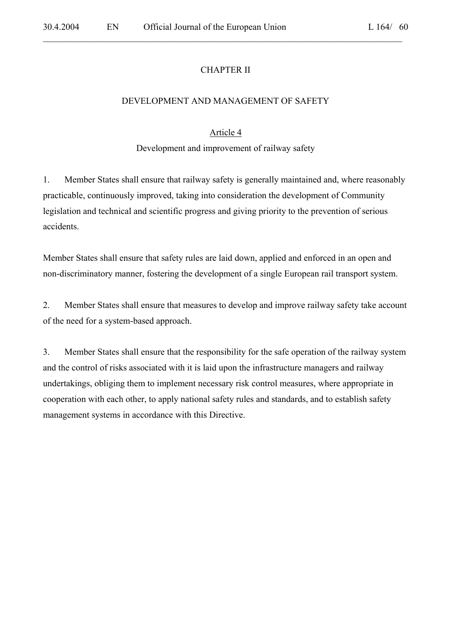### CHAPTER II

 $\mathcal{L}_\mathcal{L} = \mathcal{L}_\mathcal{L} = \mathcal{L}_\mathcal{L} = \mathcal{L}_\mathcal{L} = \mathcal{L}_\mathcal{L} = \mathcal{L}_\mathcal{L} = \mathcal{L}_\mathcal{L} = \mathcal{L}_\mathcal{L} = \mathcal{L}_\mathcal{L} = \mathcal{L}_\mathcal{L} = \mathcal{L}_\mathcal{L} = \mathcal{L}_\mathcal{L} = \mathcal{L}_\mathcal{L} = \mathcal{L}_\mathcal{L} = \mathcal{L}_\mathcal{L} = \mathcal{L}_\mathcal{L} = \mathcal{L}_\mathcal{L}$ 

#### DEVELOPMENT AND MANAGEMENT OF SAFETY

#### Article 4

Development and improvement of railway safety

1. Member States shall ensure that railway safety is generally maintained and, where reasonably practicable, continuously improved, taking into consideration the development of Community legislation and technical and scientific progress and giving priority to the prevention of serious accidents.

Member States shall ensure that safety rules are laid down, applied and enforced in an open and non-discriminatory manner, fostering the development of a single European rail transport system.

2. Member States shall ensure that measures to develop and improve railway safety take account of the need for a system-based approach.

3. Member States shall ensure that the responsibility for the safe operation of the railway system and the control of risks associated with it is laid upon the infrastructure managers and railway undertakings, obliging them to implement necessary risk control measures, where appropriate in cooperation with each other, to apply national safety rules and standards, and to establish safety management systems in accordance with this Directive.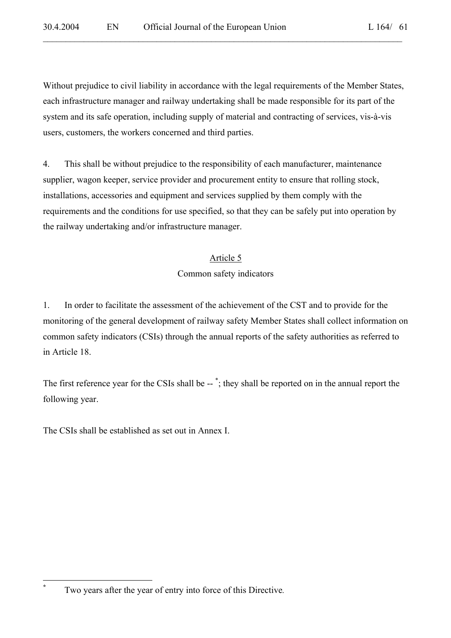Without prejudice to civil liability in accordance with the legal requirements of the Member States, each infrastructure manager and railway undertaking shall be made responsible for its part of the system and its safe operation, including supply of material and contracting of services, vis-à-vis users, customers, the workers concerned and third parties.

 $\mathcal{L}_\mathcal{L} = \mathcal{L}_\mathcal{L} = \mathcal{L}_\mathcal{L} = \mathcal{L}_\mathcal{L} = \mathcal{L}_\mathcal{L} = \mathcal{L}_\mathcal{L} = \mathcal{L}_\mathcal{L} = \mathcal{L}_\mathcal{L} = \mathcal{L}_\mathcal{L} = \mathcal{L}_\mathcal{L} = \mathcal{L}_\mathcal{L} = \mathcal{L}_\mathcal{L} = \mathcal{L}_\mathcal{L} = \mathcal{L}_\mathcal{L} = \mathcal{L}_\mathcal{L} = \mathcal{L}_\mathcal{L} = \mathcal{L}_\mathcal{L}$ 

4. This shall be without prejudice to the responsibility of each manufacturer, maintenance supplier, wagon keeper, service provider and procurement entity to ensure that rolling stock, installations, accessories and equipment and services supplied by them comply with the requirements and the conditions for use specified, so that they can be safely put into operation by the railway undertaking and/or infrastructure manager.

# Article 5

# Common safety indicators

1. In order to facilitate the assessment of the achievement of the CST and to provide for the monitoring of the general development of railway safety Member States shall collect information on common safety indicators (CSIs) through the annual reports of the safety authorities as referred to in Article 18.

The first reference year for the CSIs shall be --<sup>\*</sup>; they shall be reported on in the annual report the following year.

The CSIs shall be established as set out in Annex I.

**\***

Two years after the year of entry into force of this Directive*.*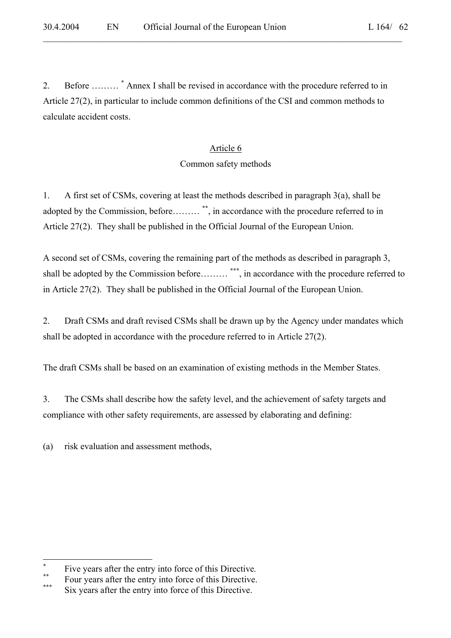2. Before ……… **\*** Annex I shall be revised in accordance with the procedure referred to in Article 27(2), in particular to include common definitions of the CSI and common methods to calculate accident costs.

 $\mathcal{L}_\mathcal{L} = \mathcal{L}_\mathcal{L} = \mathcal{L}_\mathcal{L} = \mathcal{L}_\mathcal{L} = \mathcal{L}_\mathcal{L} = \mathcal{L}_\mathcal{L} = \mathcal{L}_\mathcal{L} = \mathcal{L}_\mathcal{L} = \mathcal{L}_\mathcal{L} = \mathcal{L}_\mathcal{L} = \mathcal{L}_\mathcal{L} = \mathcal{L}_\mathcal{L} = \mathcal{L}_\mathcal{L} = \mathcal{L}_\mathcal{L} = \mathcal{L}_\mathcal{L} = \mathcal{L}_\mathcal{L} = \mathcal{L}_\mathcal{L}$ 

# Article 6

### Common safety methods

1. A first set of CSMs, covering at least the methods described in paragraph 3(a), shall be adopted by the Commission, before……… **\*\***, in accordance with the procedure referred to in Article 27(2). They shall be published in the Official Journal of the European Union.

A second set of CSMs, covering the remaining part of the methods as described in paragraph 3, shall be adopted by the Commission before……… **\*\*\***, in accordance with the procedure referred to in Article 27(2). They shall be published in the Official Journal of the European Union.

2. Draft CSMs and draft revised CSMs shall be drawn up by the Agency under mandates which shall be adopted in accordance with the procedure referred to in Article 27(2).

The draft CSMs shall be based on an examination of existing methods in the Member States.

3. The CSMs shall describe how the safety level, and the achievement of safety targets and compliance with other safety requirements, are assessed by elaborating and defining:

(a) risk evaluation and assessment methods,

 $\overline{a}$ 

**<sup>\*</sup>**

Five years after the entry into force of this Directive.<br>Four years after the entry into force of this Directive.

Six years after the entry into force of this Directive.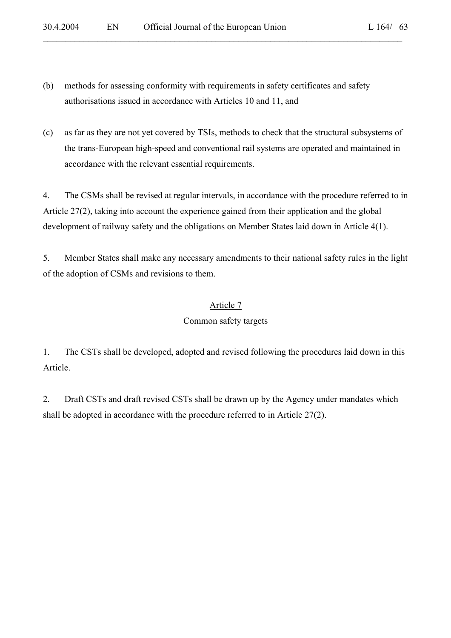- (b) methods for assessing conformity with requirements in safety certificates and safety authorisations issued in accordance with Articles 10 and 11, and
- (c) as far as they are not yet covered by TSIs, methods to check that the structural subsystems of the trans-European high-speed and conventional rail systems are operated and maintained in accordance with the relevant essential requirements.

4. The CSMs shall be revised at regular intervals, in accordance with the procedure referred to in Article 27(2), taking into account the experience gained from their application and the global development of railway safety and the obligations on Member States laid down in Article 4(1).

5. Member States shall make any necessary amendments to their national safety rules in the light of the adoption of CSMs and revisions to them.

# Article 7

# Common safety targets

1. The CSTs shall be developed, adopted and revised following the procedures laid down in this Article.

2. Draft CSTs and draft revised CSTs shall be drawn up by the Agency under mandates which shall be adopted in accordance with the procedure referred to in Article 27(2).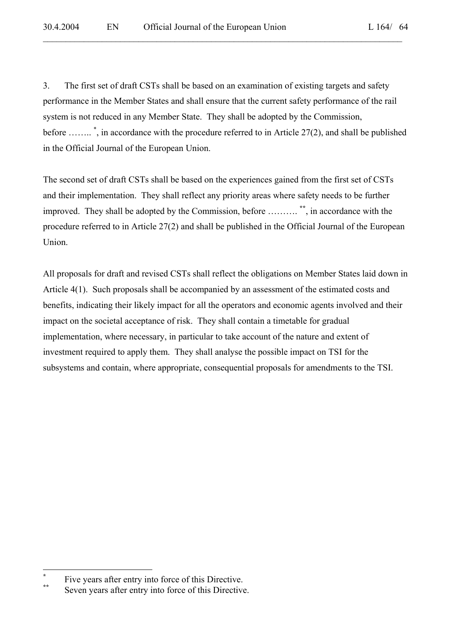3. The first set of draft CSTs shall be based on an examination of existing targets and safety performance in the Member States and shall ensure that the current safety performance of the rail system is not reduced in any Member State. They shall be adopted by the Commission, before …….. \* , in accordance with the procedure referred to in Article 27(2), and shall be published in the Official Journal of the European Union.

 $\mathcal{L}_\mathcal{L} = \mathcal{L}_\mathcal{L} = \mathcal{L}_\mathcal{L} = \mathcal{L}_\mathcal{L} = \mathcal{L}_\mathcal{L} = \mathcal{L}_\mathcal{L} = \mathcal{L}_\mathcal{L} = \mathcal{L}_\mathcal{L} = \mathcal{L}_\mathcal{L} = \mathcal{L}_\mathcal{L} = \mathcal{L}_\mathcal{L} = \mathcal{L}_\mathcal{L} = \mathcal{L}_\mathcal{L} = \mathcal{L}_\mathcal{L} = \mathcal{L}_\mathcal{L} = \mathcal{L}_\mathcal{L} = \mathcal{L}_\mathcal{L}$ 

The second set of draft CSTs shall be based on the experiences gained from the first set of CSTs and their implementation. They shall reflect any priority areas where safety needs to be further improved. They shall be adopted by the Commission, before ………. **\*\***, in accordance with the procedure referred to in Article 27(2) and shall be published in the Official Journal of the European Union.

All proposals for draft and revised CSTs shall reflect the obligations on Member States laid down in Article 4(1). Such proposals shall be accompanied by an assessment of the estimated costs and benefits, indicating their likely impact for all the operators and economic agents involved and their impact on the societal acceptance of risk. They shall contain a timetable for gradual implementation, where necessary, in particular to take account of the nature and extent of investment required to apply them. They shall analyse the possible impact on TSI for the subsystems and contain, where appropriate, consequential proposals for amendments to the TSI.

 $\overline{a}$ 

**<sup>\*</sup>**

Five years after entry into force of this Directive.<br>Seven years after entry into force of this Directive.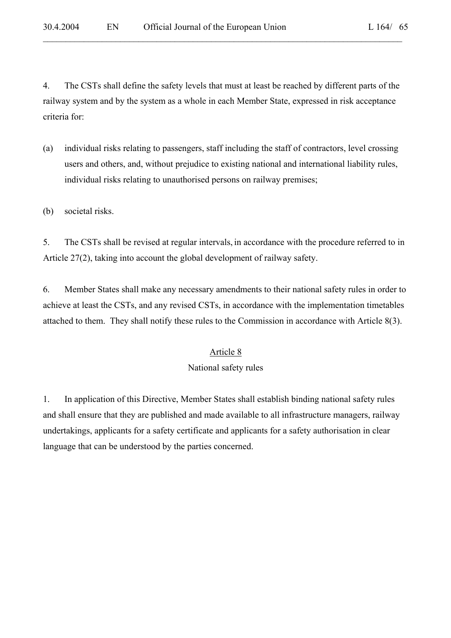4. The CSTs shall define the safety levels that must at least be reached by different parts of the railway system and by the system as a whole in each Member State, expressed in risk acceptance criteria for:

 $\mathcal{L}_\mathcal{L} = \mathcal{L}_\mathcal{L} = \mathcal{L}_\mathcal{L} = \mathcal{L}_\mathcal{L} = \mathcal{L}_\mathcal{L} = \mathcal{L}_\mathcal{L} = \mathcal{L}_\mathcal{L} = \mathcal{L}_\mathcal{L} = \mathcal{L}_\mathcal{L} = \mathcal{L}_\mathcal{L} = \mathcal{L}_\mathcal{L} = \mathcal{L}_\mathcal{L} = \mathcal{L}_\mathcal{L} = \mathcal{L}_\mathcal{L} = \mathcal{L}_\mathcal{L} = \mathcal{L}_\mathcal{L} = \mathcal{L}_\mathcal{L}$ 

- (a) individual risks relating to passengers, staff including the staff of contractors, level crossing users and others, and, without prejudice to existing national and international liability rules, individual risks relating to unauthorised persons on railway premises;
- (b) societal risks.

5. The CSTs shall be revised at regular intervals, in accordance with the procedure referred to in Article 27(2), taking into account the global development of railway safety.

6. Member States shall make any necessary amendments to their national safety rules in order to achieve at least the CSTs, and any revised CSTs, in accordance with the implementation timetables attached to them. They shall notify these rules to the Commission in accordance with Article 8(3).

#### Article 8

#### National safety rules

1. In application of this Directive, Member States shall establish binding national safety rules and shall ensure that they are published and made available to all infrastructure managers, railway undertakings, applicants for a safety certificate and applicants for a safety authorisation in clear language that can be understood by the parties concerned.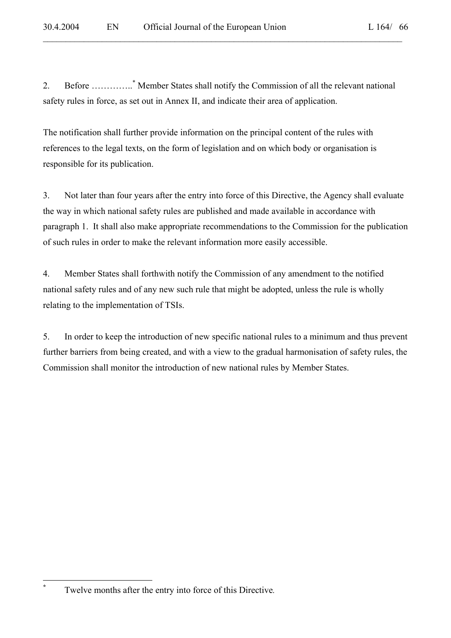2. Before …………..\* Member States shall notify the Commission of all the relevant national safety rules in force, as set out in Annex II, and indicate their area of application.

 $\mathcal{L}_\mathcal{L} = \mathcal{L}_\mathcal{L} = \mathcal{L}_\mathcal{L} = \mathcal{L}_\mathcal{L} = \mathcal{L}_\mathcal{L} = \mathcal{L}_\mathcal{L} = \mathcal{L}_\mathcal{L} = \mathcal{L}_\mathcal{L} = \mathcal{L}_\mathcal{L} = \mathcal{L}_\mathcal{L} = \mathcal{L}_\mathcal{L} = \mathcal{L}_\mathcal{L} = \mathcal{L}_\mathcal{L} = \mathcal{L}_\mathcal{L} = \mathcal{L}_\mathcal{L} = \mathcal{L}_\mathcal{L} = \mathcal{L}_\mathcal{L}$ 

The notification shall further provide information on the principal content of the rules with references to the legal texts, on the form of legislation and on which body or organisation is responsible for its publication.

3. Not later than four years after the entry into force of this Directive, the Agency shall evaluate the way in which national safety rules are published and made available in accordance with paragraph 1. It shall also make appropriate recommendations to the Commission for the publication of such rules in order to make the relevant information more easily accessible.

4. Member States shall forthwith notify the Commission of any amendment to the notified national safety rules and of any new such rule that might be adopted, unless the rule is wholly relating to the implementation of TSIs.

5. In order to keep the introduction of new specific national rules to a minimum and thus prevent further barriers from being created, and with a view to the gradual harmonisation of safety rules, the Commission shall monitor the introduction of new national rules by Member States.

**\***

Twelve months after the entry into force of this Directive*.*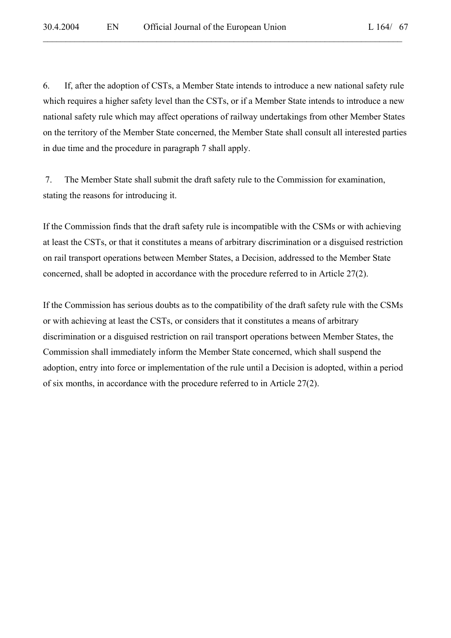6. If, after the adoption of CSTs, a Member State intends to introduce a new national safety rule which requires a higher safety level than the CSTs, or if a Member State intends to introduce a new national safety rule which may affect operations of railway undertakings from other Member States on the territory of the Member State concerned, the Member State shall consult all interested parties in due time and the procedure in paragraph 7 shall apply.

 $\mathcal{L}_\mathcal{L} = \mathcal{L}_\mathcal{L} = \mathcal{L}_\mathcal{L} = \mathcal{L}_\mathcal{L} = \mathcal{L}_\mathcal{L} = \mathcal{L}_\mathcal{L} = \mathcal{L}_\mathcal{L} = \mathcal{L}_\mathcal{L} = \mathcal{L}_\mathcal{L} = \mathcal{L}_\mathcal{L} = \mathcal{L}_\mathcal{L} = \mathcal{L}_\mathcal{L} = \mathcal{L}_\mathcal{L} = \mathcal{L}_\mathcal{L} = \mathcal{L}_\mathcal{L} = \mathcal{L}_\mathcal{L} = \mathcal{L}_\mathcal{L}$ 

 7. The Member State shall submit the draft safety rule to the Commission for examination, stating the reasons for introducing it.

If the Commission finds that the draft safety rule is incompatible with the CSMs or with achieving at least the CSTs, or that it constitutes a means of arbitrary discrimination or a disguised restriction on rail transport operations between Member States, a Decision, addressed to the Member State concerned, shall be adopted in accordance with the procedure referred to in Article 27(2).

If the Commission has serious doubts as to the compatibility of the draft safety rule with the CSMs or with achieving at least the CSTs, or considers that it constitutes a means of arbitrary discrimination or a disguised restriction on rail transport operations between Member States, the Commission shall immediately inform the Member State concerned, which shall suspend the adoption, entry into force or implementation of the rule until a Decision is adopted, within a period of six months, in accordance with the procedure referred to in Article 27(2).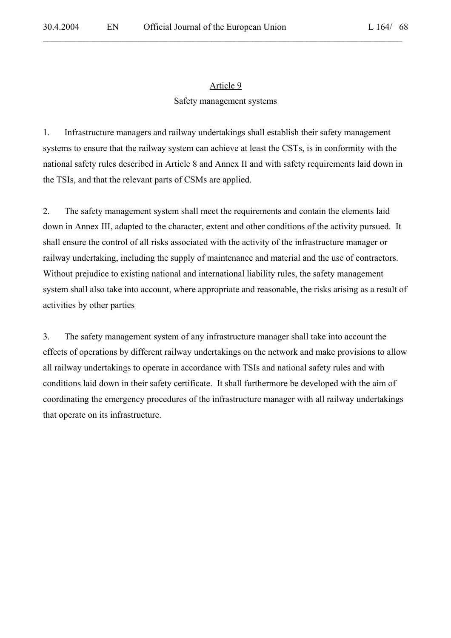### Article 9

 $\mathcal{L}_\mathcal{L} = \mathcal{L}_\mathcal{L} = \mathcal{L}_\mathcal{L} = \mathcal{L}_\mathcal{L} = \mathcal{L}_\mathcal{L} = \mathcal{L}_\mathcal{L} = \mathcal{L}_\mathcal{L} = \mathcal{L}_\mathcal{L} = \mathcal{L}_\mathcal{L} = \mathcal{L}_\mathcal{L} = \mathcal{L}_\mathcal{L} = \mathcal{L}_\mathcal{L} = \mathcal{L}_\mathcal{L} = \mathcal{L}_\mathcal{L} = \mathcal{L}_\mathcal{L} = \mathcal{L}_\mathcal{L} = \mathcal{L}_\mathcal{L}$ 

#### Safety management systems

1. Infrastructure managers and railway undertakings shall establish their safety management systems to ensure that the railway system can achieve at least the CSTs, is in conformity with the national safety rules described in Article 8 and Annex II and with safety requirements laid down in the TSIs, and that the relevant parts of CSMs are applied.

2. The safety management system shall meet the requirements and contain the elements laid down in Annex III, adapted to the character, extent and other conditions of the activity pursued. It shall ensure the control of all risks associated with the activity of the infrastructure manager or railway undertaking, including the supply of maintenance and material and the use of contractors. Without prejudice to existing national and international liability rules, the safety management system shall also take into account, where appropriate and reasonable, the risks arising as a result of activities by other parties

3. The safety management system of any infrastructure manager shall take into account the effects of operations by different railway undertakings on the network and make provisions to allow all railway undertakings to operate in accordance with TSIs and national safety rules and with conditions laid down in their safety certificate. It shall furthermore be developed with the aim of coordinating the emergency procedures of the infrastructure manager with all railway undertakings that operate on its infrastructure.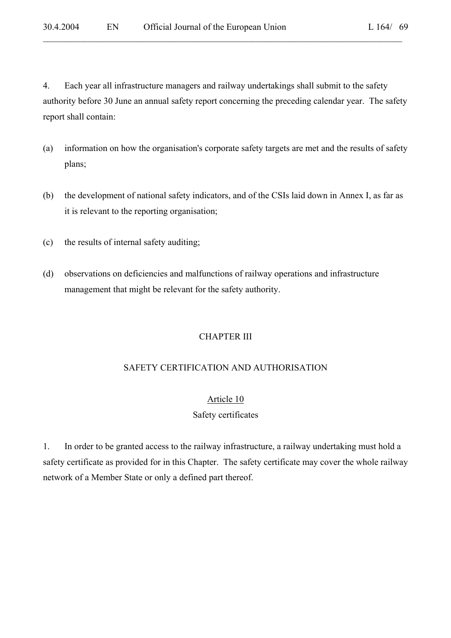4. Each year all infrastructure managers and railway undertakings shall submit to the safety authority before 30 June an annual safety report concerning the preceding calendar year. The safety report shall contain:

 $\mathcal{L}_\mathcal{L} = \mathcal{L}_\mathcal{L} = \mathcal{L}_\mathcal{L} = \mathcal{L}_\mathcal{L} = \mathcal{L}_\mathcal{L} = \mathcal{L}_\mathcal{L} = \mathcal{L}_\mathcal{L} = \mathcal{L}_\mathcal{L} = \mathcal{L}_\mathcal{L} = \mathcal{L}_\mathcal{L} = \mathcal{L}_\mathcal{L} = \mathcal{L}_\mathcal{L} = \mathcal{L}_\mathcal{L} = \mathcal{L}_\mathcal{L} = \mathcal{L}_\mathcal{L} = \mathcal{L}_\mathcal{L} = \mathcal{L}_\mathcal{L}$ 

- (a) information on how the organisation's corporate safety targets are met and the results of safety plans;
- (b) the development of national safety indicators, and of the CSIs laid down in Annex I, as far as it is relevant to the reporting organisation;
- (c) the results of internal safety auditing;
- (d) observations on deficiencies and malfunctions of railway operations and infrastructure management that might be relevant for the safety authority.

#### CHAPTER III

#### SAFETY CERTIFICATION AND AUTHORISATION

#### Article 10

#### Safety certificates

1. In order to be granted access to the railway infrastructure, a railway undertaking must hold a safety certificate as provided for in this Chapter. The safety certificate may cover the whole railway network of a Member State or only a defined part thereof.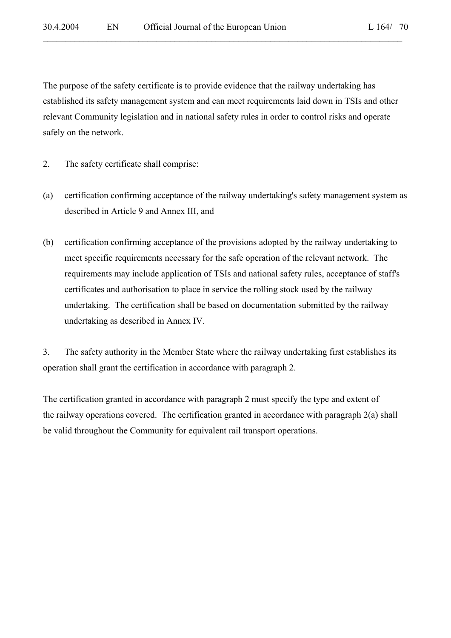The purpose of the safety certificate is to provide evidence that the railway undertaking has established its safety management system and can meet requirements laid down in TSIs and other relevant Community legislation and in national safety rules in order to control risks and operate safely on the network.

 $\mathcal{L}_\mathcal{L} = \mathcal{L}_\mathcal{L} = \mathcal{L}_\mathcal{L} = \mathcal{L}_\mathcal{L} = \mathcal{L}_\mathcal{L} = \mathcal{L}_\mathcal{L} = \mathcal{L}_\mathcal{L} = \mathcal{L}_\mathcal{L} = \mathcal{L}_\mathcal{L} = \mathcal{L}_\mathcal{L} = \mathcal{L}_\mathcal{L} = \mathcal{L}_\mathcal{L} = \mathcal{L}_\mathcal{L} = \mathcal{L}_\mathcal{L} = \mathcal{L}_\mathcal{L} = \mathcal{L}_\mathcal{L} = \mathcal{L}_\mathcal{L}$ 

- 2. The safety certificate shall comprise:
- (a) certification confirming acceptance of the railway undertaking's safety management system as described in Article 9 and Annex III, and
- (b) certification confirming acceptance of the provisions adopted by the railway undertaking to meet specific requirements necessary for the safe operation of the relevant network. The requirements may include application of TSIs and national safety rules, acceptance of staff's certificates and authorisation to place in service the rolling stock used by the railway undertaking. The certification shall be based on documentation submitted by the railway undertaking as described in Annex IV.

3. The safety authority in the Member State where the railway undertaking first establishes its operation shall grant the certification in accordance with paragraph 2.

The certification granted in accordance with paragraph 2 must specify the type and extent of the railway operations covered. The certification granted in accordance with paragraph 2(a) shall be valid throughout the Community for equivalent rail transport operations.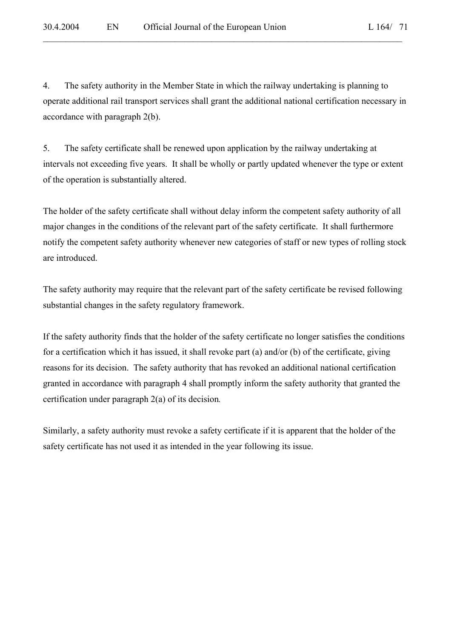4. The safety authority in the Member State in which the railway undertaking is planning to operate additional rail transport services shall grant the additional national certification necessary in accordance with paragraph 2(b).

 $\mathcal{L}_\mathcal{L} = \mathcal{L}_\mathcal{L} = \mathcal{L}_\mathcal{L} = \mathcal{L}_\mathcal{L} = \mathcal{L}_\mathcal{L} = \mathcal{L}_\mathcal{L} = \mathcal{L}_\mathcal{L} = \mathcal{L}_\mathcal{L} = \mathcal{L}_\mathcal{L} = \mathcal{L}_\mathcal{L} = \mathcal{L}_\mathcal{L} = \mathcal{L}_\mathcal{L} = \mathcal{L}_\mathcal{L} = \mathcal{L}_\mathcal{L} = \mathcal{L}_\mathcal{L} = \mathcal{L}_\mathcal{L} = \mathcal{L}_\mathcal{L}$ 

5. The safety certificate shall be renewed upon application by the railway undertaking at intervals not exceeding five years. It shall be wholly or partly updated whenever the type or extent of the operation is substantially altered.

The holder of the safety certificate shall without delay inform the competent safety authority of all major changes in the conditions of the relevant part of the safety certificate. It shall furthermore notify the competent safety authority whenever new categories of staff or new types of rolling stock are introduced.

The safety authority may require that the relevant part of the safety certificate be revised following substantial changes in the safety regulatory framework.

If the safety authority finds that the holder of the safety certificate no longer satisfies the conditions for a certification which it has issued, it shall revoke part (a) and/or (b) of the certificate, giving reasons for its decision. The safety authority that has revoked an additional national certification granted in accordance with paragraph 4 shall promptly inform the safety authority that granted the certification under paragraph 2(a) of its decision*.* 

Similarly, a safety authority must revoke a safety certificate if it is apparent that the holder of the safety certificate has not used it as intended in the year following its issue.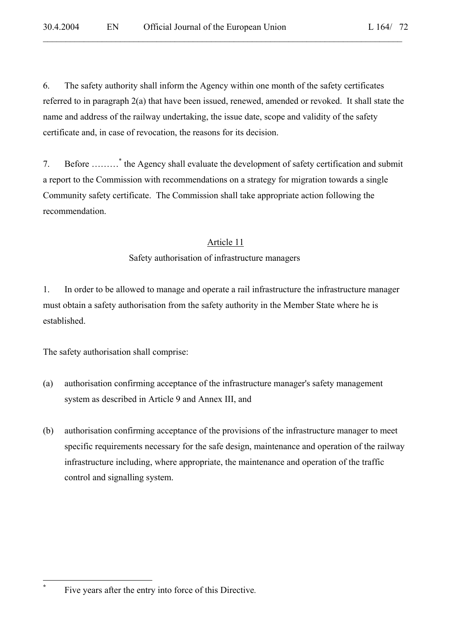6. The safety authority shall inform the Agency within one month of the safety certificates referred to in paragraph 2(a) that have been issued, renewed, amended or revoked. It shall state the name and address of the railway undertaking, the issue date, scope and validity of the safety certificate and, in case of revocation, the reasons for its decision.

 $\mathcal{L}_\mathcal{L} = \mathcal{L}_\mathcal{L} = \mathcal{L}_\mathcal{L} = \mathcal{L}_\mathcal{L} = \mathcal{L}_\mathcal{L} = \mathcal{L}_\mathcal{L} = \mathcal{L}_\mathcal{L} = \mathcal{L}_\mathcal{L} = \mathcal{L}_\mathcal{L} = \mathcal{L}_\mathcal{L} = \mathcal{L}_\mathcal{L} = \mathcal{L}_\mathcal{L} = \mathcal{L}_\mathcal{L} = \mathcal{L}_\mathcal{L} = \mathcal{L}_\mathcal{L} = \mathcal{L}_\mathcal{L} = \mathcal{L}_\mathcal{L}$ 

7. Before ………\* the Agency shall evaluate the development of safety certification and submit a report to the Commission with recommendations on a strategy for migration towards a single Community safety certificate. The Commission shall take appropriate action following the recommendation.

### Article 11

### Safety authorisation of infrastructure managers

1. In order to be allowed to manage and operate a rail infrastructure the infrastructure manager must obtain a safety authorisation from the safety authority in the Member State where he is established.

The safety authorisation shall comprise:

- (a) authorisation confirming acceptance of the infrastructure manager's safety management system as described in Article 9 and Annex III, and
- (b) authorisation confirming acceptance of the provisions of the infrastructure manager to meet specific requirements necessary for the safe design, maintenance and operation of the railway infrastructure including, where appropriate, the maintenance and operation of the traffic control and signalling system.

 $\overline{a}$ **\***

Five years after the entry into force of this Directive*.*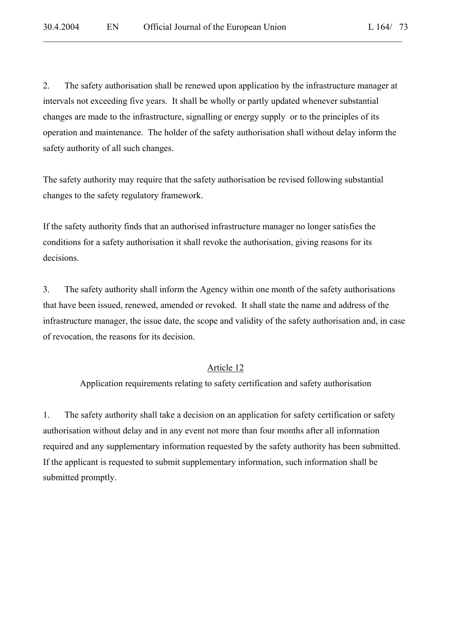2. The safety authorisation shall be renewed upon application by the infrastructure manager at intervals not exceeding five years. It shall be wholly or partly updated whenever substantial changes are made to the infrastructure, signalling or energy supply or to the principles of its operation and maintenance. The holder of the safety authorisation shall without delay inform the safety authority of all such changes.

 $\mathcal{L}_\mathcal{L} = \mathcal{L}_\mathcal{L} = \mathcal{L}_\mathcal{L} = \mathcal{L}_\mathcal{L} = \mathcal{L}_\mathcal{L} = \mathcal{L}_\mathcal{L} = \mathcal{L}_\mathcal{L} = \mathcal{L}_\mathcal{L} = \mathcal{L}_\mathcal{L} = \mathcal{L}_\mathcal{L} = \mathcal{L}_\mathcal{L} = \mathcal{L}_\mathcal{L} = \mathcal{L}_\mathcal{L} = \mathcal{L}_\mathcal{L} = \mathcal{L}_\mathcal{L} = \mathcal{L}_\mathcal{L} = \mathcal{L}_\mathcal{L}$ 

The safety authority may require that the safety authorisation be revised following substantial changes to the safety regulatory framework.

If the safety authority finds that an authorised infrastructure manager no longer satisfies the conditions for a safety authorisation it shall revoke the authorisation, giving reasons for its decisions.

3. The safety authority shall inform the Agency within one month of the safety authorisations that have been issued, renewed, amended or revoked. It shall state the name and address of the infrastructure manager, the issue date, the scope and validity of the safety authorisation and, in case of revocation, the reasons for its decision.

#### Article 12

Application requirements relating to safety certification and safety authorisation

1. The safety authority shall take a decision on an application for safety certification or safety authorisation without delay and in any event not more than four months after all information required and any supplementary information requested by the safety authority has been submitted. If the applicant is requested to submit supplementary information, such information shall be submitted promptly.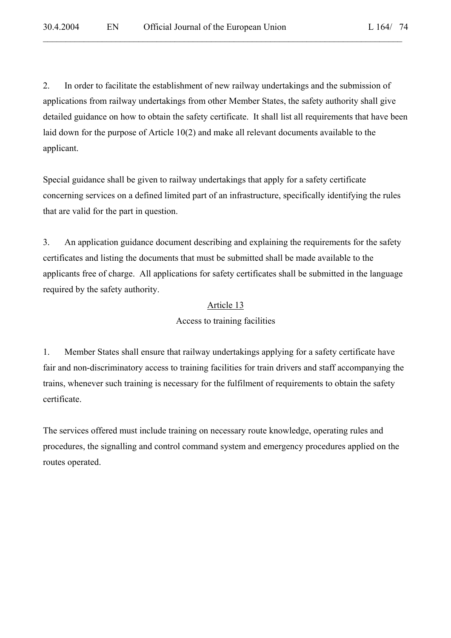2. In order to facilitate the establishment of new railway undertakings and the submission of applications from railway undertakings from other Member States, the safety authority shall give detailed guidance on how to obtain the safety certificate. It shall list all requirements that have been laid down for the purpose of Article 10(2) and make all relevant documents available to the applicant.

 $\mathcal{L}_\mathcal{L} = \mathcal{L}_\mathcal{L} = \mathcal{L}_\mathcal{L} = \mathcal{L}_\mathcal{L} = \mathcal{L}_\mathcal{L} = \mathcal{L}_\mathcal{L} = \mathcal{L}_\mathcal{L} = \mathcal{L}_\mathcal{L} = \mathcal{L}_\mathcal{L} = \mathcal{L}_\mathcal{L} = \mathcal{L}_\mathcal{L} = \mathcal{L}_\mathcal{L} = \mathcal{L}_\mathcal{L} = \mathcal{L}_\mathcal{L} = \mathcal{L}_\mathcal{L} = \mathcal{L}_\mathcal{L} = \mathcal{L}_\mathcal{L}$ 

Special guidance shall be given to railway undertakings that apply for a safety certificate concerning services on a defined limited part of an infrastructure, specifically identifying the rules that are valid for the part in question.

3. An application guidance document describing and explaining the requirements for the safety certificates and listing the documents that must be submitted shall be made available to the applicants free of charge. All applications for safety certificates shall be submitted in the language required by the safety authority.

#### Article 13

Access to training facilities

1. Member States shall ensure that railway undertakings applying for a safety certificate have fair and non-discriminatory access to training facilities for train drivers and staff accompanying the trains, whenever such training is necessary for the fulfilment of requirements to obtain the safety certificate.

The services offered must include training on necessary route knowledge, operating rules and procedures, the signalling and control command system and emergency procedures applied on the routes operated.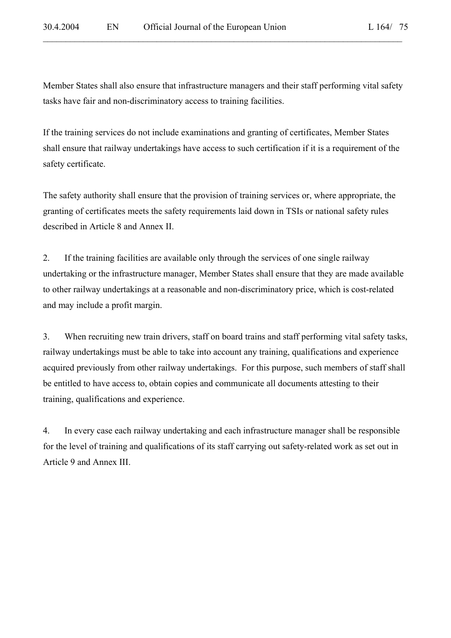Member States shall also ensure that infrastructure managers and their staff performing vital safety tasks have fair and non-discriminatory access to training facilities.

 $\mathcal{L}_\mathcal{L} = \mathcal{L}_\mathcal{L} = \mathcal{L}_\mathcal{L} = \mathcal{L}_\mathcal{L} = \mathcal{L}_\mathcal{L} = \mathcal{L}_\mathcal{L} = \mathcal{L}_\mathcal{L} = \mathcal{L}_\mathcal{L} = \mathcal{L}_\mathcal{L} = \mathcal{L}_\mathcal{L} = \mathcal{L}_\mathcal{L} = \mathcal{L}_\mathcal{L} = \mathcal{L}_\mathcal{L} = \mathcal{L}_\mathcal{L} = \mathcal{L}_\mathcal{L} = \mathcal{L}_\mathcal{L} = \mathcal{L}_\mathcal{L}$ 

If the training services do not include examinations and granting of certificates, Member States shall ensure that railway undertakings have access to such certification if it is a requirement of the safety certificate.

The safety authority shall ensure that the provision of training services or, where appropriate, the granting of certificates meets the safety requirements laid down in TSIs or national safety rules described in Article 8 and Annex II.

2. If the training facilities are available only through the services of one single railway undertaking or the infrastructure manager, Member States shall ensure that they are made available to other railway undertakings at a reasonable and non-discriminatory price, which is cost-related and may include a profit margin.

3. When recruiting new train drivers, staff on board trains and staff performing vital safety tasks, railway undertakings must be able to take into account any training, qualifications and experience acquired previously from other railway undertakings. For this purpose, such members of staff shall be entitled to have access to, obtain copies and communicate all documents attesting to their training, qualifications and experience.

4. In every case each railway undertaking and each infrastructure manager shall be responsible for the level of training and qualifications of its staff carrying out safety-related work as set out in Article 9 and Annex III.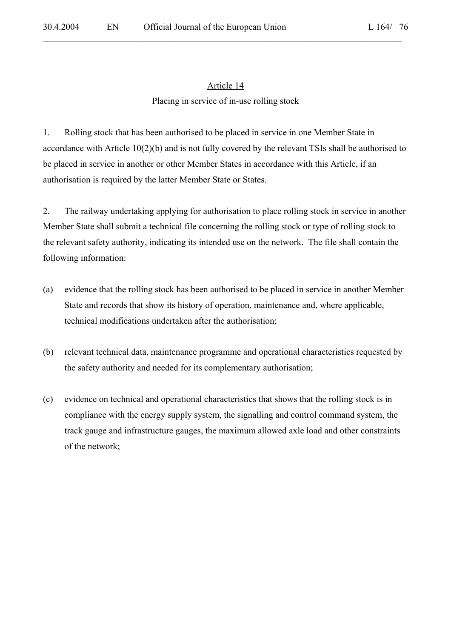# Article 14 Placing in service of in-use rolling stock

 $\mathcal{L}_\mathcal{L} = \mathcal{L}_\mathcal{L} = \mathcal{L}_\mathcal{L} = \mathcal{L}_\mathcal{L} = \mathcal{L}_\mathcal{L} = \mathcal{L}_\mathcal{L} = \mathcal{L}_\mathcal{L} = \mathcal{L}_\mathcal{L} = \mathcal{L}_\mathcal{L} = \mathcal{L}_\mathcal{L} = \mathcal{L}_\mathcal{L} = \mathcal{L}_\mathcal{L} = \mathcal{L}_\mathcal{L} = \mathcal{L}_\mathcal{L} = \mathcal{L}_\mathcal{L} = \mathcal{L}_\mathcal{L} = \mathcal{L}_\mathcal{L}$ 

1. Rolling stock that has been authorised to be placed in service in one Member State in accordance with Article 10(2)(b) and is not fully covered by the relevant TSIs shall be authorised to be placed in service in another or other Member States in accordance with this Article, if an authorisation is required by the latter Member State or States.

2. The railway undertaking applying for authorisation to place rolling stock in service in another Member State shall submit a technical file concerning the rolling stock or type of rolling stock to the relevant safety authority, indicating its intended use on the network. The file shall contain the following information:

- (a) evidence that the rolling stock has been authorised to be placed in service in another Member State and records that show its history of operation, maintenance and, where applicable, technical modifications undertaken after the authorisation;
- (b) relevant technical data, maintenance programme and operational characteristics requested by the safety authority and needed for its complementary authorisation;
- (c) evidence on technical and operational characteristics that shows that the rolling stock is in compliance with the energy supply system, the signalling and control command system, the track gauge and infrastructure gauges, the maximum allowed axle load and other constraints of the network;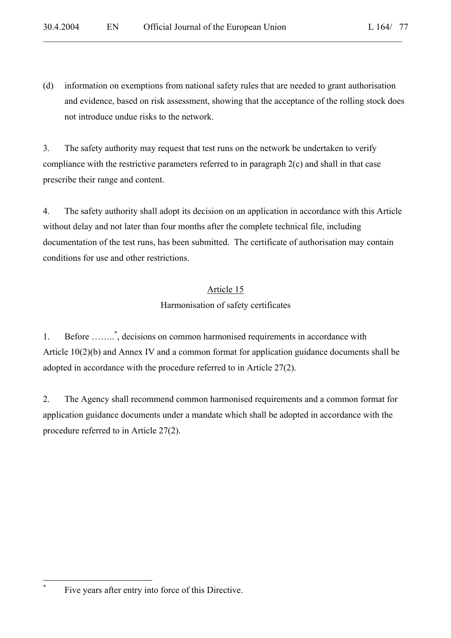(d) information on exemptions from national safety rules that are needed to grant authorisation and evidence, based on risk assessment, showing that the acceptance of the rolling stock does not introduce undue risks to the network.

 $\mathcal{L}_\mathcal{L} = \mathcal{L}_\mathcal{L} = \mathcal{L}_\mathcal{L} = \mathcal{L}_\mathcal{L} = \mathcal{L}_\mathcal{L} = \mathcal{L}_\mathcal{L} = \mathcal{L}_\mathcal{L} = \mathcal{L}_\mathcal{L} = \mathcal{L}_\mathcal{L} = \mathcal{L}_\mathcal{L} = \mathcal{L}_\mathcal{L} = \mathcal{L}_\mathcal{L} = \mathcal{L}_\mathcal{L} = \mathcal{L}_\mathcal{L} = \mathcal{L}_\mathcal{L} = \mathcal{L}_\mathcal{L} = \mathcal{L}_\mathcal{L}$ 

3. The safety authority may request that test runs on the network be undertaken to verify compliance with the restrictive parameters referred to in paragraph 2(c) and shall in that case prescribe their range and content.

4. The safety authority shall adopt its decision on an application in accordance with this Article without delay and not later than four months after the complete technical file, including documentation of the test runs, has been submitted. The certificate of authorisation may contain conditions for use and other restrictions.

# Article 15 Harmonisation of safety certificates

1. Before ........<sup>\*</sup>, decisions on common harmonised requirements in accordance with Article 10(2)(b) and Annex IV and a common format for application guidance documents shall be adopted in accordance with the procedure referred to in Article 27(2).

2. The Agency shall recommend common harmonised requirements and a common format for application guidance documents under a mandate which shall be adopted in accordance with the procedure referred to in Article 27(2).

 $\overline{a}$ **\***

Five years after entry into force of this Directive.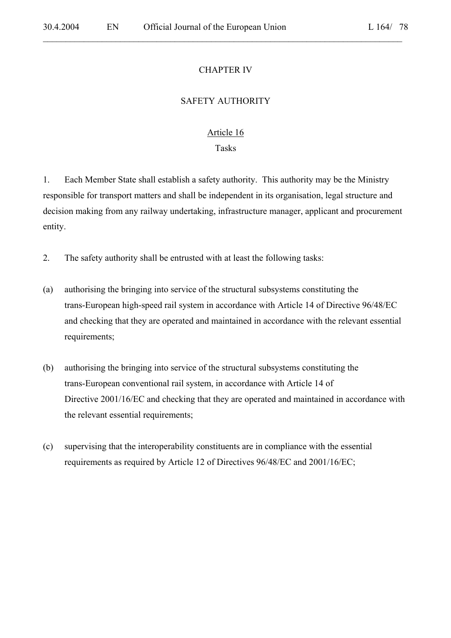#### CHAPTER IV

 $\mathcal{L}_\mathcal{L} = \mathcal{L}_\mathcal{L} = \mathcal{L}_\mathcal{L} = \mathcal{L}_\mathcal{L} = \mathcal{L}_\mathcal{L} = \mathcal{L}_\mathcal{L} = \mathcal{L}_\mathcal{L} = \mathcal{L}_\mathcal{L} = \mathcal{L}_\mathcal{L} = \mathcal{L}_\mathcal{L} = \mathcal{L}_\mathcal{L} = \mathcal{L}_\mathcal{L} = \mathcal{L}_\mathcal{L} = \mathcal{L}_\mathcal{L} = \mathcal{L}_\mathcal{L} = \mathcal{L}_\mathcal{L} = \mathcal{L}_\mathcal{L}$ 

#### SAFETY AUTHORITY

# Article 16 Tasks

1. Each Member State shall establish a safety authority. This authority may be the Ministry responsible for transport matters and shall be independent in its organisation, legal structure and decision making from any railway undertaking, infrastructure manager, applicant and procurement entity.

2. The safety authority shall be entrusted with at least the following tasks:

- (a) authorising the bringing into service of the structural subsystems constituting the trans-European high-speed rail system in accordance with Article 14 of Directive 96/48/EC and checking that they are operated and maintained in accordance with the relevant essential requirements;
- (b) authorising the bringing into service of the structural subsystems constituting the trans-European conventional rail system, in accordance with Article 14 of Directive 2001/16/EC and checking that they are operated and maintained in accordance with the relevant essential requirements;
- (c) supervising that the interoperability constituents are in compliance with the essential requirements as required by Article 12 of Directives 96/48/EC and 2001/16/EC;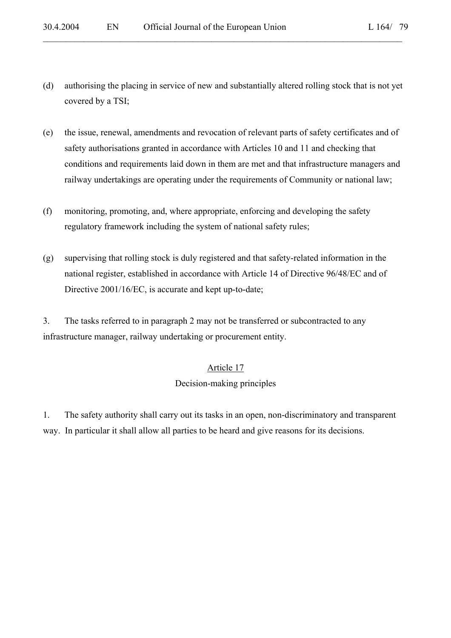(d) authorising the placing in service of new and substantially altered rolling stock that is not yet covered by a TSI;

 $\mathcal{L}_\mathcal{L} = \mathcal{L}_\mathcal{L} = \mathcal{L}_\mathcal{L} = \mathcal{L}_\mathcal{L} = \mathcal{L}_\mathcal{L} = \mathcal{L}_\mathcal{L} = \mathcal{L}_\mathcal{L} = \mathcal{L}_\mathcal{L} = \mathcal{L}_\mathcal{L} = \mathcal{L}_\mathcal{L} = \mathcal{L}_\mathcal{L} = \mathcal{L}_\mathcal{L} = \mathcal{L}_\mathcal{L} = \mathcal{L}_\mathcal{L} = \mathcal{L}_\mathcal{L} = \mathcal{L}_\mathcal{L} = \mathcal{L}_\mathcal{L}$ 

- (e) the issue, renewal, amendments and revocation of relevant parts of safety certificates and of safety authorisations granted in accordance with Articles 10 and 11 and checking that conditions and requirements laid down in them are met and that infrastructure managers and railway undertakings are operating under the requirements of Community or national law;
- (f) monitoring, promoting, and, where appropriate, enforcing and developing the safety regulatory framework including the system of national safety rules;
- (g) supervising that rolling stock is duly registered and that safety-related information in the national register, established in accordance with Article 14 of Directive 96/48/EC and of Directive 2001/16/EC, is accurate and kept up-to-date;

3. The tasks referred to in paragraph 2 may not be transferred or subcontracted to any infrastructure manager, railway undertaking or procurement entity.

# Article 17

# Decision-making principles

1. The safety authority shall carry out its tasks in an open, non-discriminatory and transparent way. In particular it shall allow all parties to be heard and give reasons for its decisions.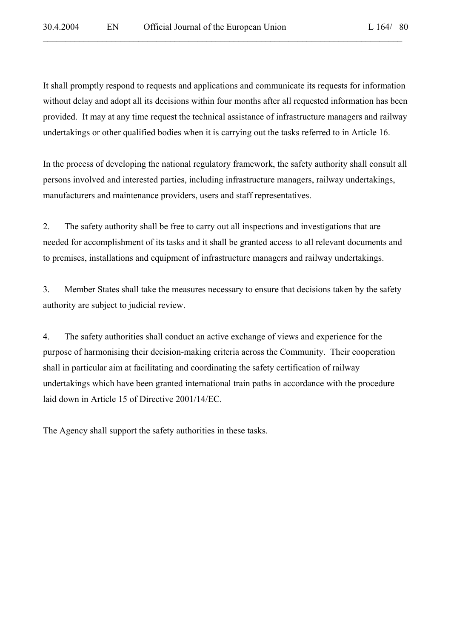It shall promptly respond to requests and applications and communicate its requests for information without delay and adopt all its decisions within four months after all requested information has been provided. It may at any time request the technical assistance of infrastructure managers and railway undertakings or other qualified bodies when it is carrying out the tasks referred to in Article 16.

 $\mathcal{L}_\mathcal{L} = \mathcal{L}_\mathcal{L} = \mathcal{L}_\mathcal{L} = \mathcal{L}_\mathcal{L} = \mathcal{L}_\mathcal{L} = \mathcal{L}_\mathcal{L} = \mathcal{L}_\mathcal{L} = \mathcal{L}_\mathcal{L} = \mathcal{L}_\mathcal{L} = \mathcal{L}_\mathcal{L} = \mathcal{L}_\mathcal{L} = \mathcal{L}_\mathcal{L} = \mathcal{L}_\mathcal{L} = \mathcal{L}_\mathcal{L} = \mathcal{L}_\mathcal{L} = \mathcal{L}_\mathcal{L} = \mathcal{L}_\mathcal{L}$ 

In the process of developing the national regulatory framework, the safety authority shall consult all persons involved and interested parties, including infrastructure managers, railway undertakings, manufacturers and maintenance providers, users and staff representatives.

2. The safety authority shall be free to carry out all inspections and investigations that are needed for accomplishment of its tasks and it shall be granted access to all relevant documents and to premises, installations and equipment of infrastructure managers and railway undertakings.

3. Member States shall take the measures necessary to ensure that decisions taken by the safety authority are subject to judicial review.

4. The safety authorities shall conduct an active exchange of views and experience for the purpose of harmonising their decision-making criteria across the Community. Their cooperation shall in particular aim at facilitating and coordinating the safety certification of railway undertakings which have been granted international train paths in accordance with the procedure laid down in Article 15 of Directive 2001/14/EC.

The Agency shall support the safety authorities in these tasks.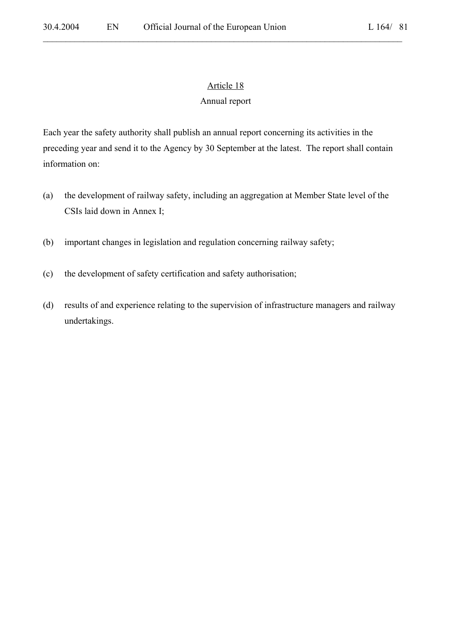# Article 18

 $\mathcal{L}_\mathcal{L} = \mathcal{L}_\mathcal{L} = \mathcal{L}_\mathcal{L} = \mathcal{L}_\mathcal{L} = \mathcal{L}_\mathcal{L} = \mathcal{L}_\mathcal{L} = \mathcal{L}_\mathcal{L} = \mathcal{L}_\mathcal{L} = \mathcal{L}_\mathcal{L} = \mathcal{L}_\mathcal{L} = \mathcal{L}_\mathcal{L} = \mathcal{L}_\mathcal{L} = \mathcal{L}_\mathcal{L} = \mathcal{L}_\mathcal{L} = \mathcal{L}_\mathcal{L} = \mathcal{L}_\mathcal{L} = \mathcal{L}_\mathcal{L}$ 

# Annual report

Each year the safety authority shall publish an annual report concerning its activities in the preceding year and send it to the Agency by 30 September at the latest. The report shall contain information on:

- (a) the development of railway safety, including an aggregation at Member State level of the CSIs laid down in Annex I;
- (b) important changes in legislation and regulation concerning railway safety;
- (c) the development of safety certification and safety authorisation;
- (d) results of and experience relating to the supervision of infrastructure managers and railway undertakings.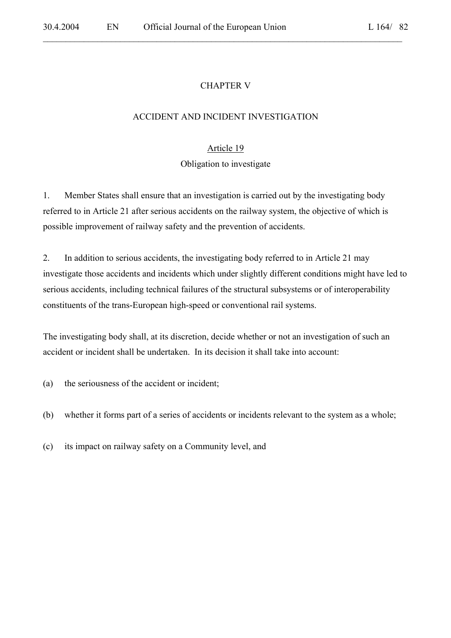# CHAPTER V

 $\mathcal{L}_\mathcal{L} = \mathcal{L}_\mathcal{L} = \mathcal{L}_\mathcal{L} = \mathcal{L}_\mathcal{L} = \mathcal{L}_\mathcal{L} = \mathcal{L}_\mathcal{L} = \mathcal{L}_\mathcal{L} = \mathcal{L}_\mathcal{L} = \mathcal{L}_\mathcal{L} = \mathcal{L}_\mathcal{L} = \mathcal{L}_\mathcal{L} = \mathcal{L}_\mathcal{L} = \mathcal{L}_\mathcal{L} = \mathcal{L}_\mathcal{L} = \mathcal{L}_\mathcal{L} = \mathcal{L}_\mathcal{L} = \mathcal{L}_\mathcal{L}$ 

#### ACCIDENT AND INCIDENT INVESTIGATION

# Article 19

#### Obligation to investigate

1. Member States shall ensure that an investigation is carried out by the investigating body referred to in Article 21 after serious accidents on the railway system, the objective of which is possible improvement of railway safety and the prevention of accidents.

2. In addition to serious accidents, the investigating body referred to in Article 21 may investigate those accidents and incidents which under slightly different conditions might have led to serious accidents, including technical failures of the structural subsystems or of interoperability constituents of the trans-European high-speed or conventional rail systems.

The investigating body shall, at its discretion, decide whether or not an investigation of such an accident or incident shall be undertaken. In its decision it shall take into account:

- (a) the seriousness of the accident or incident;
- (b) whether it forms part of a series of accidents or incidents relevant to the system as a whole;
- (c) its impact on railway safety on a Community level, and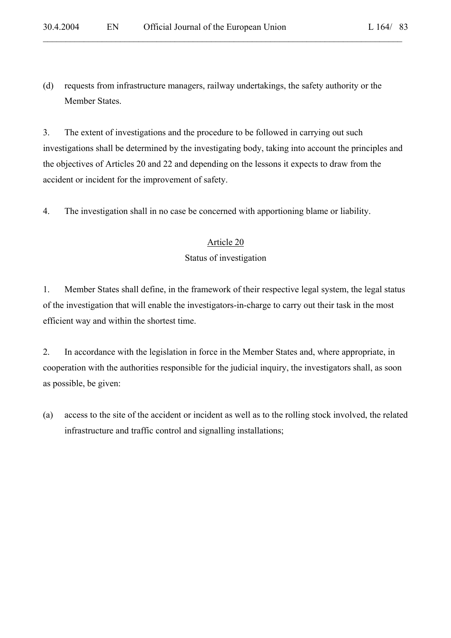(d) requests from infrastructure managers, railway undertakings, the safety authority or the Member States.

 $\mathcal{L}_\mathcal{L} = \mathcal{L}_\mathcal{L} = \mathcal{L}_\mathcal{L} = \mathcal{L}_\mathcal{L} = \mathcal{L}_\mathcal{L} = \mathcal{L}_\mathcal{L} = \mathcal{L}_\mathcal{L} = \mathcal{L}_\mathcal{L} = \mathcal{L}_\mathcal{L} = \mathcal{L}_\mathcal{L} = \mathcal{L}_\mathcal{L} = \mathcal{L}_\mathcal{L} = \mathcal{L}_\mathcal{L} = \mathcal{L}_\mathcal{L} = \mathcal{L}_\mathcal{L} = \mathcal{L}_\mathcal{L} = \mathcal{L}_\mathcal{L}$ 

3. The extent of investigations and the procedure to be followed in carrying out such investigations shall be determined by the investigating body, taking into account the principles and the objectives of Articles 20 and 22 and depending on the lessons it expects to draw from the accident or incident for the improvement of safety.

4. The investigation shall in no case be concerned with apportioning blame or liability.

### Article 20

### Status of investigation

1. Member States shall define, in the framework of their respective legal system, the legal status of the investigation that will enable the investigators-in-charge to carry out their task in the most efficient way and within the shortest time.

2. In accordance with the legislation in force in the Member States and, where appropriate, in cooperation with the authorities responsible for the judicial inquiry, the investigators shall, as soon as possible, be given:

(a) access to the site of the accident or incident as well as to the rolling stock involved, the related infrastructure and traffic control and signalling installations;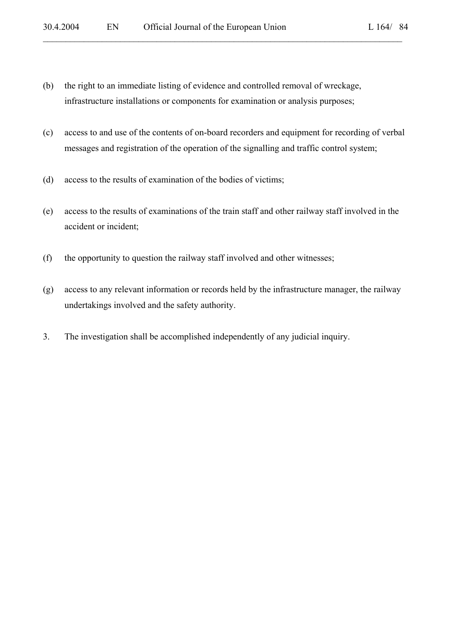- (b) the right to an immediate listing of evidence and controlled removal of wreckage, infrastructure installations or components for examination or analysis purposes;
- (c) access to and use of the contents of on-board recorders and equipment for recording of verbal messages and registration of the operation of the signalling and traffic control system;

- (d) access to the results of examination of the bodies of victims;
- (e) access to the results of examinations of the train staff and other railway staff involved in the accident or incident;
- (f) the opportunity to question the railway staff involved and other witnesses;
- (g) access to any relevant information or records held by the infrastructure manager, the railway undertakings involved and the safety authority.
- 3. The investigation shall be accomplished independently of any judicial inquiry.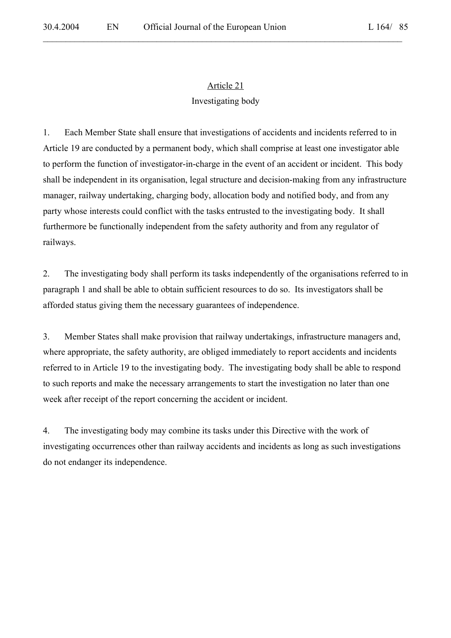# Article 21

 $\mathcal{L}_\mathcal{L} = \mathcal{L}_\mathcal{L} = \mathcal{L}_\mathcal{L} = \mathcal{L}_\mathcal{L} = \mathcal{L}_\mathcal{L} = \mathcal{L}_\mathcal{L} = \mathcal{L}_\mathcal{L} = \mathcal{L}_\mathcal{L} = \mathcal{L}_\mathcal{L} = \mathcal{L}_\mathcal{L} = \mathcal{L}_\mathcal{L} = \mathcal{L}_\mathcal{L} = \mathcal{L}_\mathcal{L} = \mathcal{L}_\mathcal{L} = \mathcal{L}_\mathcal{L} = \mathcal{L}_\mathcal{L} = \mathcal{L}_\mathcal{L}$ 

# Investigating body

1. Each Member State shall ensure that investigations of accidents and incidents referred to in Article 19 are conducted by a permanent body, which shall comprise at least one investigator able to perform the function of investigator-in-charge in the event of an accident or incident. This body shall be independent in its organisation, legal structure and decision-making from any infrastructure manager, railway undertaking, charging body, allocation body and notified body, and from any party whose interests could conflict with the tasks entrusted to the investigating body. It shall furthermore be functionally independent from the safety authority and from any regulator of railways.

2. The investigating body shall perform its tasks independently of the organisations referred to in paragraph 1 and shall be able to obtain sufficient resources to do so. Its investigators shall be afforded status giving them the necessary guarantees of independence.

3. Member States shall make provision that railway undertakings, infrastructure managers and, where appropriate, the safety authority, are obliged immediately to report accidents and incidents referred to in Article 19 to the investigating body. The investigating body shall be able to respond to such reports and make the necessary arrangements to start the investigation no later than one week after receipt of the report concerning the accident or incident.

4. The investigating body may combine its tasks under this Directive with the work of investigating occurrences other than railway accidents and incidents as long as such investigations do not endanger its independence.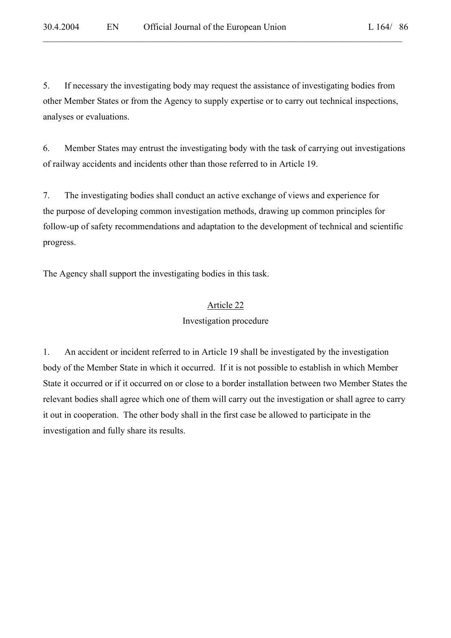5. If necessary the investigating body may request the assistance of investigating bodies from other Member States or from the Agency to supply expertise or to carry out technical inspections, analyses or evaluations.

 $\mathcal{L}_\mathcal{L} = \mathcal{L}_\mathcal{L} = \mathcal{L}_\mathcal{L} = \mathcal{L}_\mathcal{L} = \mathcal{L}_\mathcal{L} = \mathcal{L}_\mathcal{L} = \mathcal{L}_\mathcal{L} = \mathcal{L}_\mathcal{L} = \mathcal{L}_\mathcal{L} = \mathcal{L}_\mathcal{L} = \mathcal{L}_\mathcal{L} = \mathcal{L}_\mathcal{L} = \mathcal{L}_\mathcal{L} = \mathcal{L}_\mathcal{L} = \mathcal{L}_\mathcal{L} = \mathcal{L}_\mathcal{L} = \mathcal{L}_\mathcal{L}$ 

6. Member States may entrust the investigating body with the task of carrying out investigations of railway accidents and incidents other than those referred to in Article 19.

7. The investigating bodies shall conduct an active exchange of views and experience for the purpose of developing common investigation methods, drawing up common principles for follow-up of safety recommendations and adaptation to the development of technical and scientific progress.

The Agency shall support the investigating bodies in this task.

#### Article 22

#### Investigation procedure

1. An accident or incident referred to in Article 19 shall be investigated by the investigation body of the Member State in which it occurred. If it is not possible to establish in which Member State it occurred or if it occurred on or close to a border installation between two Member States the relevant bodies shall agree which one of them will carry out the investigation or shall agree to carry it out in cooperation. The other body shall in the first case be allowed to participate in the investigation and fully share its results.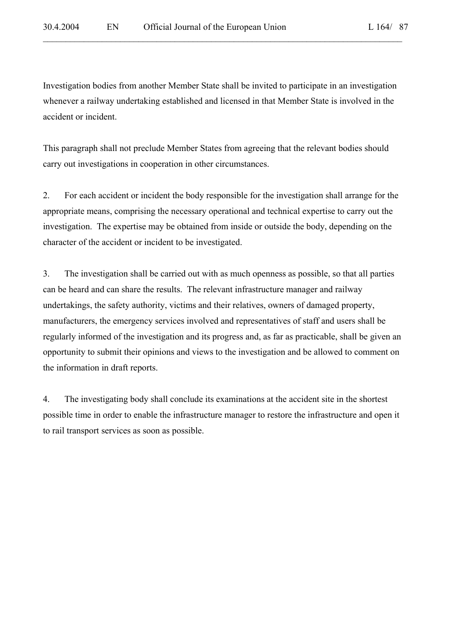Investigation bodies from another Member State shall be invited to participate in an investigation whenever a railway undertaking established and licensed in that Member State is involved in the accident or incident.

 $\mathcal{L}_\mathcal{L} = \mathcal{L}_\mathcal{L} = \mathcal{L}_\mathcal{L} = \mathcal{L}_\mathcal{L} = \mathcal{L}_\mathcal{L} = \mathcal{L}_\mathcal{L} = \mathcal{L}_\mathcal{L} = \mathcal{L}_\mathcal{L} = \mathcal{L}_\mathcal{L} = \mathcal{L}_\mathcal{L} = \mathcal{L}_\mathcal{L} = \mathcal{L}_\mathcal{L} = \mathcal{L}_\mathcal{L} = \mathcal{L}_\mathcal{L} = \mathcal{L}_\mathcal{L} = \mathcal{L}_\mathcal{L} = \mathcal{L}_\mathcal{L}$ 

This paragraph shall not preclude Member States from agreeing that the relevant bodies should carry out investigations in cooperation in other circumstances.

2. For each accident or incident the body responsible for the investigation shall arrange for the appropriate means, comprising the necessary operational and technical expertise to carry out the investigation. The expertise may be obtained from inside or outside the body, depending on the character of the accident or incident to be investigated.

3. The investigation shall be carried out with as much openness as possible, so that all parties can be heard and can share the results. The relevant infrastructure manager and railway undertakings, the safety authority, victims and their relatives, owners of damaged property, manufacturers, the emergency services involved and representatives of staff and users shall be regularly informed of the investigation and its progress and, as far as practicable, shall be given an opportunity to submit their opinions and views to the investigation and be allowed to comment on the information in draft reports.

4. The investigating body shall conclude its examinations at the accident site in the shortest possible time in order to enable the infrastructure manager to restore the infrastructure and open it to rail transport services as soon as possible.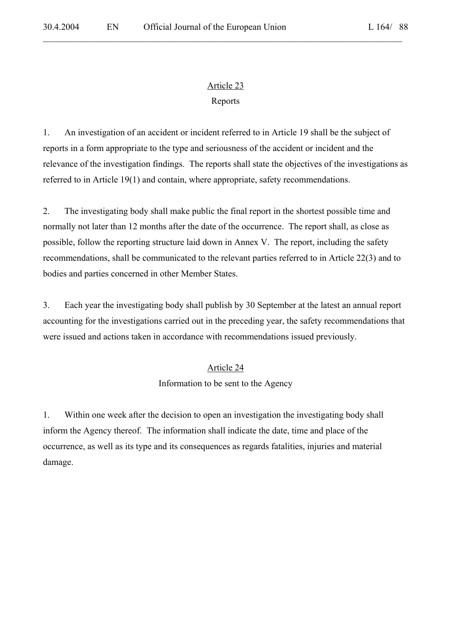# Article 23 Reports

 $\mathcal{L}_\mathcal{L} = \mathcal{L}_\mathcal{L} = \mathcal{L}_\mathcal{L} = \mathcal{L}_\mathcal{L} = \mathcal{L}_\mathcal{L} = \mathcal{L}_\mathcal{L} = \mathcal{L}_\mathcal{L} = \mathcal{L}_\mathcal{L} = \mathcal{L}_\mathcal{L} = \mathcal{L}_\mathcal{L} = \mathcal{L}_\mathcal{L} = \mathcal{L}_\mathcal{L} = \mathcal{L}_\mathcal{L} = \mathcal{L}_\mathcal{L} = \mathcal{L}_\mathcal{L} = \mathcal{L}_\mathcal{L} = \mathcal{L}_\mathcal{L}$ 

1. An investigation of an accident or incident referred to in Article 19 shall be the subject of reports in a form appropriate to the type and seriousness of the accident or incident and the relevance of the investigation findings. The reports shall state the objectives of the investigations as referred to in Article 19(1) and contain, where appropriate, safety recommendations.

2. The investigating body shall make public the final report in the shortest possible time and normally not later than 12 months after the date of the occurrence. The report shall, as close as possible, follow the reporting structure laid down in Annex V. The report, including the safety recommendations, shall be communicated to the relevant parties referred to in Article 22(3) and to bodies and parties concerned in other Member States.

3. Each year the investigating body shall publish by 30 September at the latest an annual report accounting for the investigations carried out in the preceding year, the safety recommendations that were issued and actions taken in accordance with recommendations issued previously.

# Article 24

Information to be sent to the Agency

1. Within one week after the decision to open an investigation the investigating body shall inform the Agency thereof. The information shall indicate the date, time and place of the occurrence, as well as its type and its consequences as regards fatalities, injuries and material damage.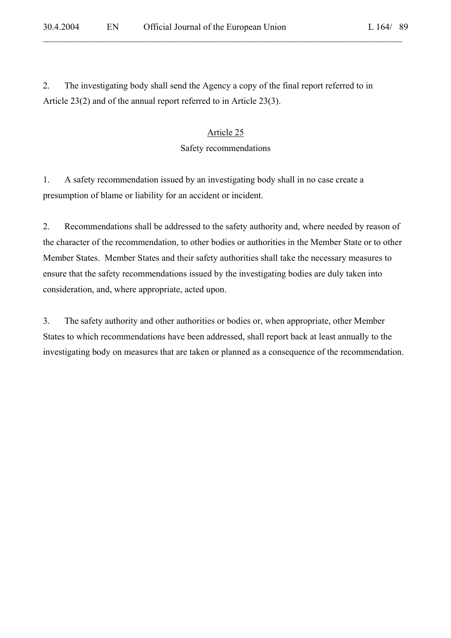2. The investigating body shall send the Agency a copy of the final report referred to in Article 23(2) and of the annual report referred to in Article 23(3).

# Article 25 Safety recommendations

 $\mathcal{L}_\mathcal{L} = \mathcal{L}_\mathcal{L} = \mathcal{L}_\mathcal{L} = \mathcal{L}_\mathcal{L} = \mathcal{L}_\mathcal{L} = \mathcal{L}_\mathcal{L} = \mathcal{L}_\mathcal{L} = \mathcal{L}_\mathcal{L} = \mathcal{L}_\mathcal{L} = \mathcal{L}_\mathcal{L} = \mathcal{L}_\mathcal{L} = \mathcal{L}_\mathcal{L} = \mathcal{L}_\mathcal{L} = \mathcal{L}_\mathcal{L} = \mathcal{L}_\mathcal{L} = \mathcal{L}_\mathcal{L} = \mathcal{L}_\mathcal{L}$ 

1. A safety recommendation issued by an investigating body shall in no case create a presumption of blame or liability for an accident or incident.

2. Recommendations shall be addressed to the safety authority and, where needed by reason of the character of the recommendation, to other bodies or authorities in the Member State or to other Member States. Member States and their safety authorities shall take the necessary measures to ensure that the safety recommendations issued by the investigating bodies are duly taken into consideration, and, where appropriate, acted upon.

3. The safety authority and other authorities or bodies or, when appropriate, other Member States to which recommendations have been addressed, shall report back at least annually to the investigating body on measures that are taken or planned as a consequence of the recommendation.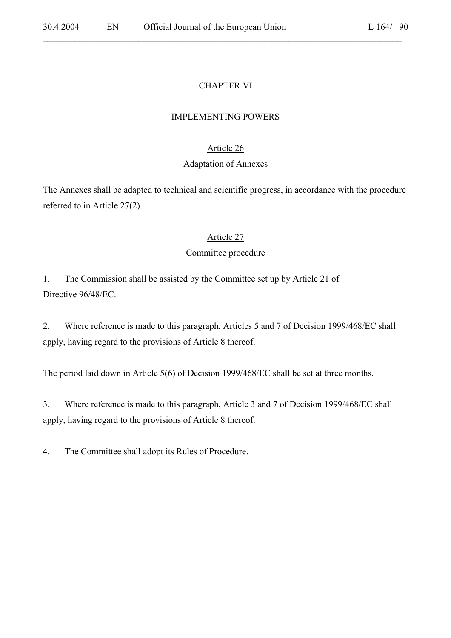# CHAPTER VI

# IMPLEMENTING POWERS

# Article 26

# Adaptation of Annexes

The Annexes shall be adapted to technical and scientific progress, in accordance with the procedure referred to in Article 27(2).

# Article 27

# Committee procedure

1. The Commission shall be assisted by the Committee set up by Article 21 of Directive 96/48/EC.

2. Where reference is made to this paragraph, Articles 5 and 7 of Decision 1999/468/EC shall apply, having regard to the provisions of Article 8 thereof.

The period laid down in Article 5(6) of Decision 1999/468/EC shall be set at three months.

3. Where reference is made to this paragraph, Article 3 and 7 of Decision 1999/468/EC shall apply, having regard to the provisions of Article 8 thereof.

4. The Committee shall adopt its Rules of Procedure.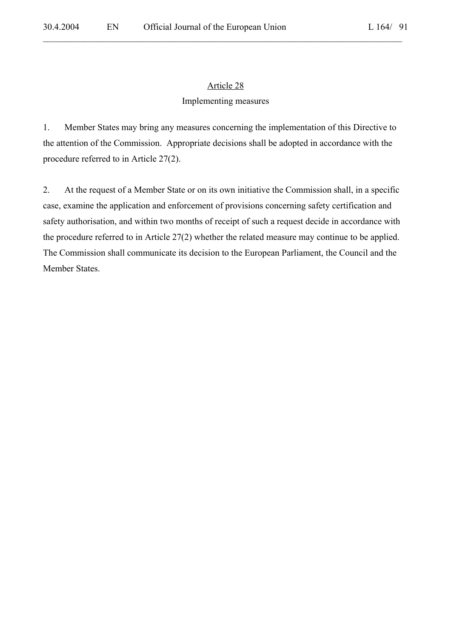# Article 28

 $\mathcal{L}_\mathcal{L} = \mathcal{L}_\mathcal{L} = \mathcal{L}_\mathcal{L} = \mathcal{L}_\mathcal{L} = \mathcal{L}_\mathcal{L} = \mathcal{L}_\mathcal{L} = \mathcal{L}_\mathcal{L} = \mathcal{L}_\mathcal{L} = \mathcal{L}_\mathcal{L} = \mathcal{L}_\mathcal{L} = \mathcal{L}_\mathcal{L} = \mathcal{L}_\mathcal{L} = \mathcal{L}_\mathcal{L} = \mathcal{L}_\mathcal{L} = \mathcal{L}_\mathcal{L} = \mathcal{L}_\mathcal{L} = \mathcal{L}_\mathcal{L}$ 

### Implementing measures

1. Member States may bring any measures concerning the implementation of this Directive to the attention of the Commission. Appropriate decisions shall be adopted in accordance with the procedure referred to in Article 27(2).

2. At the request of a Member State or on its own initiative the Commission shall, in a specific case, examine the application and enforcement of provisions concerning safety certification and safety authorisation, and within two months of receipt of such a request decide in accordance with the procedure referred to in Article 27(2) whether the related measure may continue to be applied. The Commission shall communicate its decision to the European Parliament, the Council and the Member States.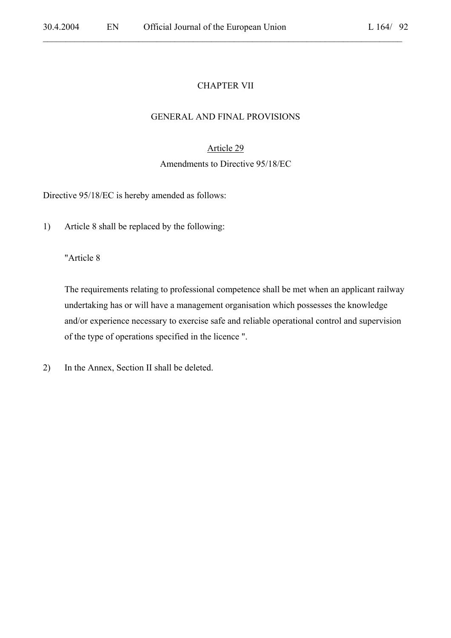### CHAPTER VII

 $\mathcal{L}_\mathcal{L} = \mathcal{L}_\mathcal{L} = \mathcal{L}_\mathcal{L} = \mathcal{L}_\mathcal{L} = \mathcal{L}_\mathcal{L} = \mathcal{L}_\mathcal{L} = \mathcal{L}_\mathcal{L} = \mathcal{L}_\mathcal{L} = \mathcal{L}_\mathcal{L} = \mathcal{L}_\mathcal{L} = \mathcal{L}_\mathcal{L} = \mathcal{L}_\mathcal{L} = \mathcal{L}_\mathcal{L} = \mathcal{L}_\mathcal{L} = \mathcal{L}_\mathcal{L} = \mathcal{L}_\mathcal{L} = \mathcal{L}_\mathcal{L}$ 

#### GENERAL AND FINAL PROVISIONS

### Article 29

#### Amendments to Directive 95/18/EC

Directive 95/18/EC is hereby amended as follows:

1) Article 8 shall be replaced by the following:

"Article 8

The requirements relating to professional competence shall be met when an applicant railway undertaking has or will have a management organisation which possesses the knowledge and/or experience necessary to exercise safe and reliable operational control and supervision of the type of operations specified in the licence ".

2) In the Annex, Section II shall be deleted.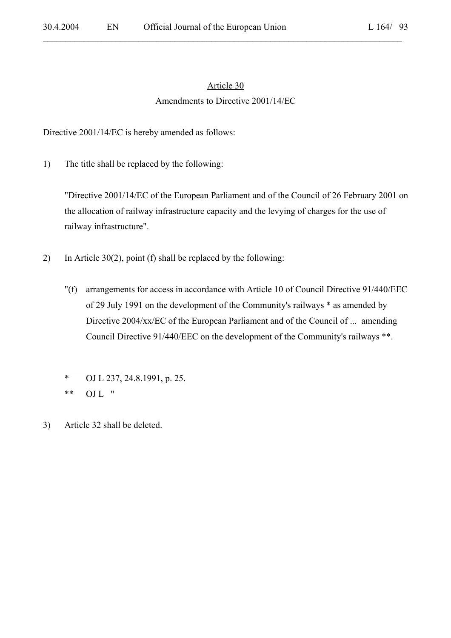# Article 30 Amendments to Directive 2001/14/EC

 $\mathcal{L}_\mathcal{L} = \mathcal{L}_\mathcal{L} = \mathcal{L}_\mathcal{L} = \mathcal{L}_\mathcal{L} = \mathcal{L}_\mathcal{L} = \mathcal{L}_\mathcal{L} = \mathcal{L}_\mathcal{L} = \mathcal{L}_\mathcal{L} = \mathcal{L}_\mathcal{L} = \mathcal{L}_\mathcal{L} = \mathcal{L}_\mathcal{L} = \mathcal{L}_\mathcal{L} = \mathcal{L}_\mathcal{L} = \mathcal{L}_\mathcal{L} = \mathcal{L}_\mathcal{L} = \mathcal{L}_\mathcal{L} = \mathcal{L}_\mathcal{L}$ 

Directive 2001/14/EC is hereby amended as follows:

1) The title shall be replaced by the following:

"Directive 2001/14/EC of the European Parliament and of the Council of 26 February 2001 on the allocation of railway infrastructure capacity and the levying of charges for the use of railway infrastructure".

- 2) In Article 30(2), point (f) shall be replaced by the following:
	- "(f) arrangements for access in accordance with Article 10 of Council Directive 91/440/EEC of 29 July 1991 on the development of the Community's railways \* as amended by Directive 2004/xx/EC of the European Parliament and of the Council of ... amending Council Directive 91/440/EEC on the development of the Community's railways \*\*.

<sup>\*</sup> OJ L 237, 24.8.1991, p. 25.

<sup>\*\*</sup> OJ L "

<sup>3)</sup> Article 32 shall be deleted.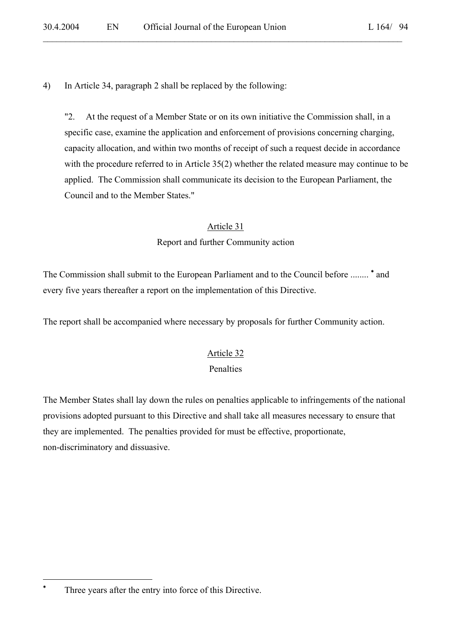4) In Article 34, paragraph 2 shall be replaced by the following:

"2. At the request of a Member State or on its own initiative the Commission shall, in a specific case, examine the application and enforcement of provisions concerning charging, capacity allocation, and within two months of receipt of such a request decide in accordance with the procedure referred to in Article 35(2) whether the related measure may continue to be applied. The Commission shall communicate its decision to the European Parliament, the Council and to the Member States."

#### Article 31

Report and further Community action

The Commission shall submit to the European Parliament and to the Council before ........ <sup>\*</sup> and every five years thereafter a report on the implementation of this Directive.

The report shall be accompanied where necessary by proposals for further Community action.

#### Article 32

#### Penalties

The Member States shall lay down the rules on penalties applicable to infringements of the national provisions adopted pursuant to this Directive and shall take all measures necessary to ensure that they are implemented. The penalties provided for must be effective, proportionate, non-discriminatory and dissuasive.

 $\overline{a}$ 

<sup>∗</sup> Three years after the entry into force of this Directive.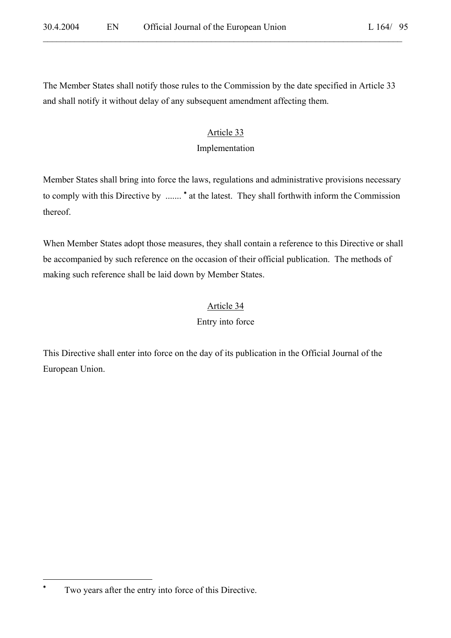The Member States shall notify those rules to the Commission by the date specified in Article 33 and shall notify it without delay of any subsequent amendment affecting them.

### Article 33

### Implementation

Member States shall bring into force the laws, regulations and administrative provisions necessary to comply with this Directive by ....... \* at the latest. They shall forthwith inform the Commission thereof.

When Member States adopt those measures, they shall contain a reference to this Directive or shall be accompanied by such reference on the occasion of their official publication. The methods of making such reference shall be laid down by Member States.

# Article 34

Entry into force

This Directive shall enter into force on the day of its publication in the Official Journal of the European Union.

 $\overline{a}$ 

<sup>∗</sup> Two years after the entry into force of this Directive.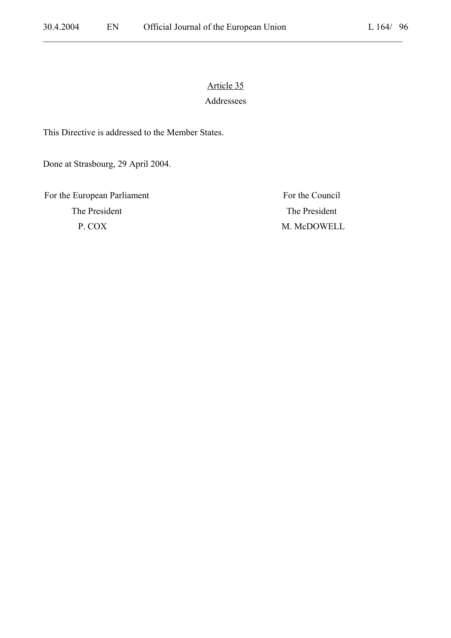# Article 35 Addressees

 $\mathcal{L}_\mathcal{L} = \mathcal{L}_\mathcal{L} = \mathcal{L}_\mathcal{L} = \mathcal{L}_\mathcal{L} = \mathcal{L}_\mathcal{L} = \mathcal{L}_\mathcal{L} = \mathcal{L}_\mathcal{L} = \mathcal{L}_\mathcal{L} = \mathcal{L}_\mathcal{L} = \mathcal{L}_\mathcal{L} = \mathcal{L}_\mathcal{L} = \mathcal{L}_\mathcal{L} = \mathcal{L}_\mathcal{L} = \mathcal{L}_\mathcal{L} = \mathcal{L}_\mathcal{L} = \mathcal{L}_\mathcal{L} = \mathcal{L}_\mathcal{L}$ 

This Directive is addressed to the Member States.

Done at Strasbourg, 29 April 2004.

For the European Parliament For the Council The President The President P. COX M. McDOWELL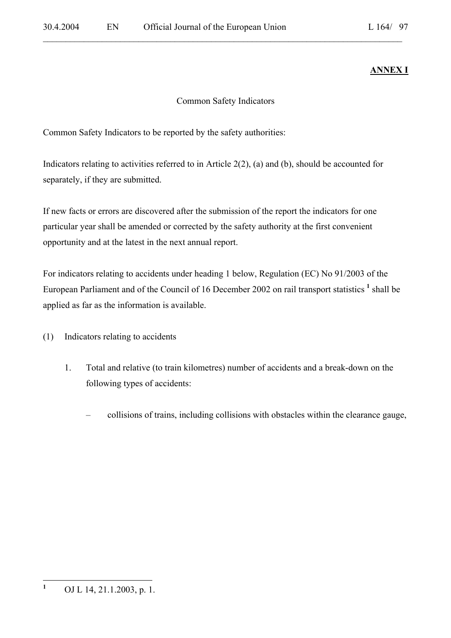# **ANNEX I**

# Common Safety Indicators

Common Safety Indicators to be reported by the safety authorities:

Indicators relating to activities referred to in Article 2(2), (a) and (b), should be accounted for separately, if they are submitted.

If new facts or errors are discovered after the submission of the report the indicators for one particular year shall be amended or corrected by the safety authority at the first convenient opportunity and at the latest in the next annual report.

For indicators relating to accidents under heading 1 below, Regulation (EC) No 91/2003 of the European Parliament and of the Council of 16 December 2002 on rail transport statistics <sup>1</sup> shall be applied as far as the information is available.

- (1) Indicators relating to accidents
	- 1. Total and relative (to train kilometres) number of accidents and a break-down on the following types of accidents:
		- collisions of trains, including collisions with obstacles within the clearance gauge,

 **1** OJ L 14, 21.1.2003, p. 1.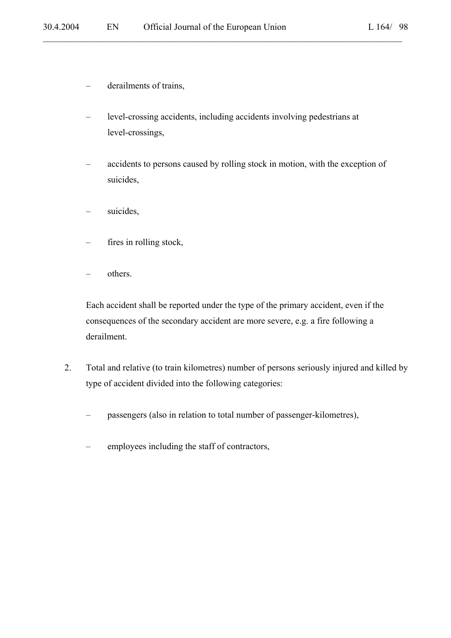- derailments of trains,
- level-crossing accidents, including accidents involving pedestrians at level-crossings,

- accidents to persons caused by rolling stock in motion, with the exception of suicides,
- suicides,
- fires in rolling stock,
- others.

Each accident shall be reported under the type of the primary accident, even if the consequences of the secondary accident are more severe, e.g. a fire following a derailment.

- 2. Total and relative (to train kilometres) number of persons seriously injured and killed by type of accident divided into the following categories:
	- passengers (also in relation to total number of passenger-kilometres),
	- employees including the staff of contractors,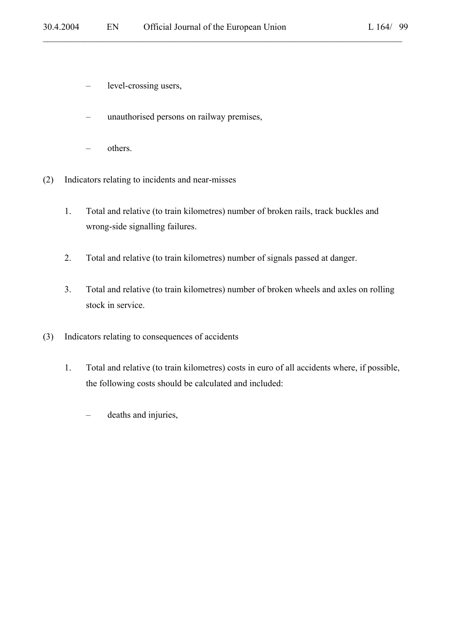- level-crossing users,
- unauthorised persons on railway premises,
- others.
- (2) Indicators relating to incidents and near-misses
	- 1. Total and relative (to train kilometres) number of broken rails, track buckles and wrong-side signalling failures.

- 2. Total and relative (to train kilometres) number of signals passed at danger.
- 3. Total and relative (to train kilometres) number of broken wheels and axles on rolling stock in service.
- (3) Indicators relating to consequences of accidents
	- 1. Total and relative (to train kilometres) costs in euro of all accidents where, if possible, the following costs should be calculated and included:
		- deaths and injuries,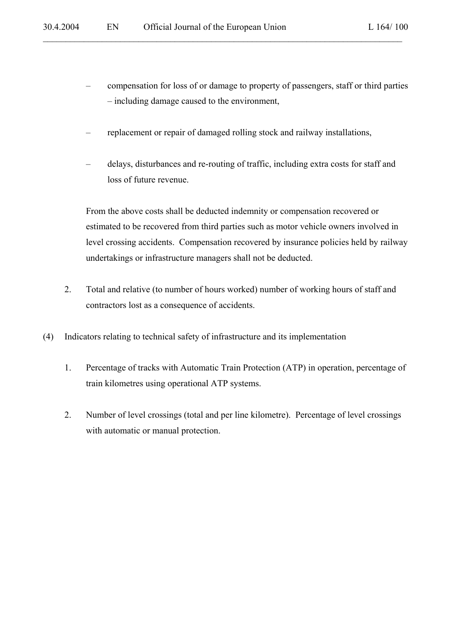- compensation for loss of or damage to property of passengers, staff or third parties – including damage caused to the environment,
- replacement or repair of damaged rolling stock and railway installations,

– delays, disturbances and re-routing of traffic, including extra costs for staff and loss of future revenue.

From the above costs shall be deducted indemnity or compensation recovered or estimated to be recovered from third parties such as motor vehicle owners involved in level crossing accidents. Compensation recovered by insurance policies held by railway undertakings or infrastructure managers shall not be deducted.

- 2. Total and relative (to number of hours worked) number of working hours of staff and contractors lost as a consequence of accidents.
- (4) Indicators relating to technical safety of infrastructure and its implementation
	- 1. Percentage of tracks with Automatic Train Protection (ATP) in operation, percentage of train kilometres using operational ATP systems.
	- 2. Number of level crossings (total and per line kilometre). Percentage of level crossings with automatic or manual protection.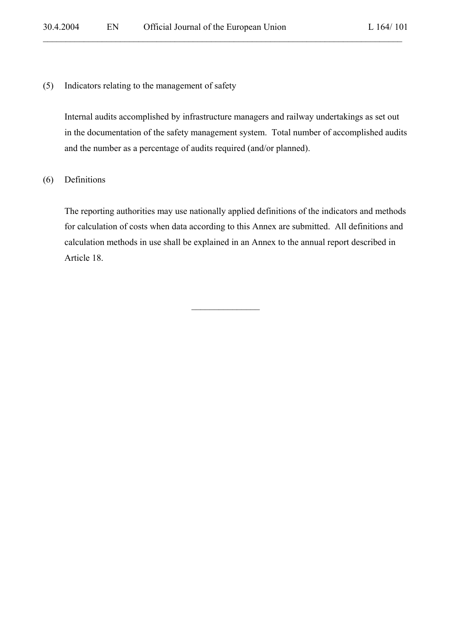(5) Indicators relating to the management of safety

Internal audits accomplished by infrastructure managers and railway undertakings as set out in the documentation of the safety management system. Total number of accomplished audits and the number as a percentage of audits required (and/or planned).

 $\mathcal{L}_\mathcal{L} = \{ \mathcal{L}_\mathcal{L} = \{ \mathcal{L}_\mathcal{L} = \{ \mathcal{L}_\mathcal{L} = \{ \mathcal{L}_\mathcal{L} = \{ \mathcal{L}_\mathcal{L} = \{ \mathcal{L}_\mathcal{L} = \{ \mathcal{L}_\mathcal{L} = \{ \mathcal{L}_\mathcal{L} = \{ \mathcal{L}_\mathcal{L} = \{ \mathcal{L}_\mathcal{L} = \{ \mathcal{L}_\mathcal{L} = \{ \mathcal{L}_\mathcal{L} = \{ \mathcal{L}_\mathcal{L} = \{ \mathcal{L}_\mathcal{$ 

(6) Definitions

The reporting authorities may use nationally applied definitions of the indicators and methods for calculation of costs when data according to this Annex are submitted. All definitions and calculation methods in use shall be explained in an Annex to the annual report described in Article 18.

 $\overline{\phantom{a}}$  , where  $\overline{\phantom{a}}$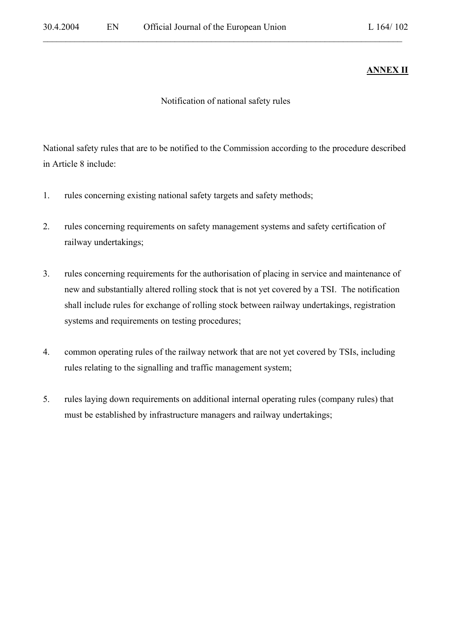# **ANNEX II**

Notification of national safety rules

 $\mathcal{L}_\mathcal{L} = \{ \mathcal{L}_\mathcal{L} = \{ \mathcal{L}_\mathcal{L} = \{ \mathcal{L}_\mathcal{L} = \{ \mathcal{L}_\mathcal{L} = \{ \mathcal{L}_\mathcal{L} = \{ \mathcal{L}_\mathcal{L} = \{ \mathcal{L}_\mathcal{L} = \{ \mathcal{L}_\mathcal{L} = \{ \mathcal{L}_\mathcal{L} = \{ \mathcal{L}_\mathcal{L} = \{ \mathcal{L}_\mathcal{L} = \{ \mathcal{L}_\mathcal{L} = \{ \mathcal{L}_\mathcal{L} = \{ \mathcal{L}_\mathcal{$ 

National safety rules that are to be notified to the Commission according to the procedure described in Article 8 include:

- 1. rules concerning existing national safety targets and safety methods;
- 2. rules concerning requirements on safety management systems and safety certification of railway undertakings;
- 3. rules concerning requirements for the authorisation of placing in service and maintenance of new and substantially altered rolling stock that is not yet covered by a TSI. The notification shall include rules for exchange of rolling stock between railway undertakings, registration systems and requirements on testing procedures;
- 4. common operating rules of the railway network that are not yet covered by TSIs, including rules relating to the signalling and traffic management system;
- 5. rules laying down requirements on additional internal operating rules (company rules) that must be established by infrastructure managers and railway undertakings;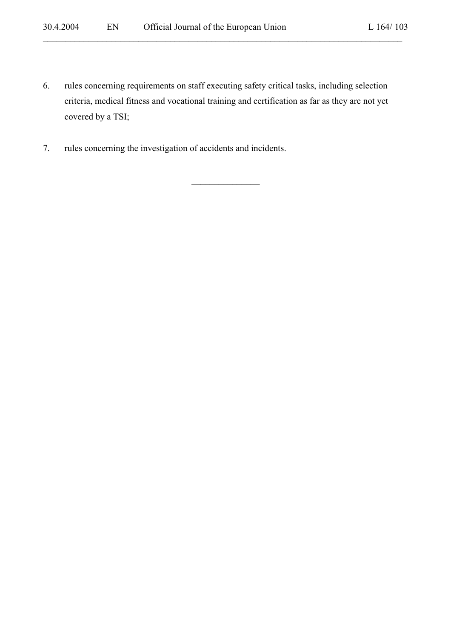6. rules concerning requirements on staff executing safety critical tasks, including selection criteria, medical fitness and vocational training and certification as far as they are not yet covered by a TSI;

 $\mathcal{L}_\text{max}$ 

 $\mathcal{L}_\mathcal{L} = \{ \mathcal{L}_\mathcal{L} = \{ \mathcal{L}_\mathcal{L} = \{ \mathcal{L}_\mathcal{L} = \{ \mathcal{L}_\mathcal{L} = \{ \mathcal{L}_\mathcal{L} = \{ \mathcal{L}_\mathcal{L} = \{ \mathcal{L}_\mathcal{L} = \{ \mathcal{L}_\mathcal{L} = \{ \mathcal{L}_\mathcal{L} = \{ \mathcal{L}_\mathcal{L} = \{ \mathcal{L}_\mathcal{L} = \{ \mathcal{L}_\mathcal{L} = \{ \mathcal{L}_\mathcal{L} = \{ \mathcal{L}_\mathcal{$ 

7. rules concerning the investigation of accidents and incidents.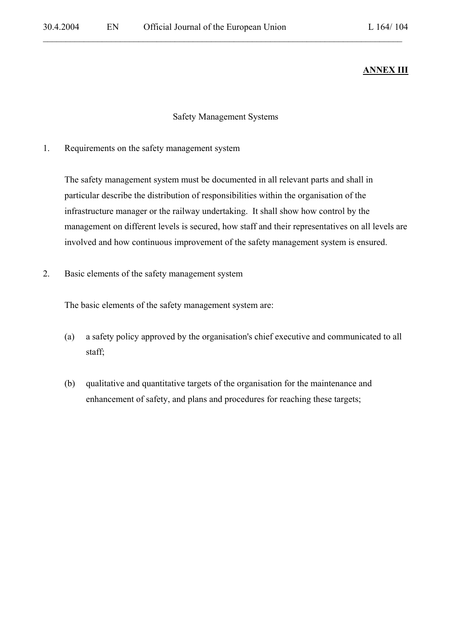# **ANNEX III**

#### Safety Management Systems

 $\mathcal{L}_\mathcal{L} = \{ \mathcal{L}_\mathcal{L} = \{ \mathcal{L}_\mathcal{L} = \{ \mathcal{L}_\mathcal{L} = \{ \mathcal{L}_\mathcal{L} = \{ \mathcal{L}_\mathcal{L} = \{ \mathcal{L}_\mathcal{L} = \{ \mathcal{L}_\mathcal{L} = \{ \mathcal{L}_\mathcal{L} = \{ \mathcal{L}_\mathcal{L} = \{ \mathcal{L}_\mathcal{L} = \{ \mathcal{L}_\mathcal{L} = \{ \mathcal{L}_\mathcal{L} = \{ \mathcal{L}_\mathcal{L} = \{ \mathcal{L}_\mathcal{$ 

1. Requirements on the safety management system

The safety management system must be documented in all relevant parts and shall in particular describe the distribution of responsibilities within the organisation of the infrastructure manager or the railway undertaking. It shall show how control by the management on different levels is secured, how staff and their representatives on all levels are involved and how continuous improvement of the safety management system is ensured.

2. Basic elements of the safety management system

The basic elements of the safety management system are:

- (a) a safety policy approved by the organisation's chief executive and communicated to all staff;
- (b) qualitative and quantitative targets of the organisation for the maintenance and enhancement of safety, and plans and procedures for reaching these targets;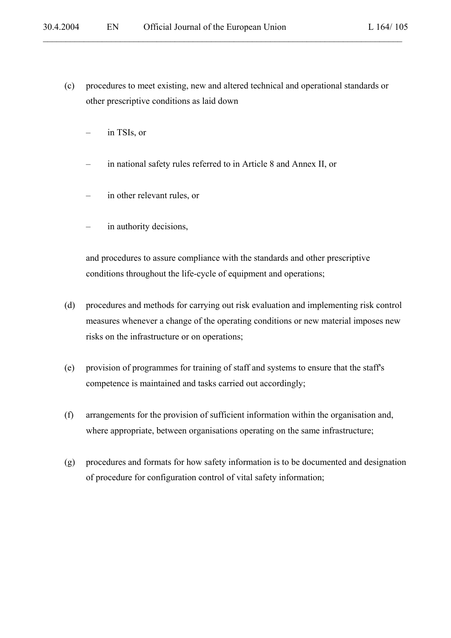(c) procedures to meet existing, new and altered technical and operational standards or other prescriptive conditions as laid down

 $\mathcal{L}_\mathcal{L} = \{ \mathcal{L}_\mathcal{L} = \{ \mathcal{L}_\mathcal{L} = \{ \mathcal{L}_\mathcal{L} = \{ \mathcal{L}_\mathcal{L} = \{ \mathcal{L}_\mathcal{L} = \{ \mathcal{L}_\mathcal{L} = \{ \mathcal{L}_\mathcal{L} = \{ \mathcal{L}_\mathcal{L} = \{ \mathcal{L}_\mathcal{L} = \{ \mathcal{L}_\mathcal{L} = \{ \mathcal{L}_\mathcal{L} = \{ \mathcal{L}_\mathcal{L} = \{ \mathcal{L}_\mathcal{L} = \{ \mathcal{L}_\mathcal{$ 

- in TSIs, or
- in national safety rules referred to in Article 8 and Annex II, or
- in other relevant rules, or
- in authority decisions,

and procedures to assure compliance with the standards and other prescriptive conditions throughout the life-cycle of equipment and operations;

- (d) procedures and methods for carrying out risk evaluation and implementing risk control measures whenever a change of the operating conditions or new material imposes new risks on the infrastructure or on operations;
- (e) provision of programmes for training of staff and systems to ensure that the staff's competence is maintained and tasks carried out accordingly;
- (f) arrangements for the provision of sufficient information within the organisation and, where appropriate, between organisations operating on the same infrastructure;
- (g) procedures and formats for how safety information is to be documented and designation of procedure for configuration control of vital safety information;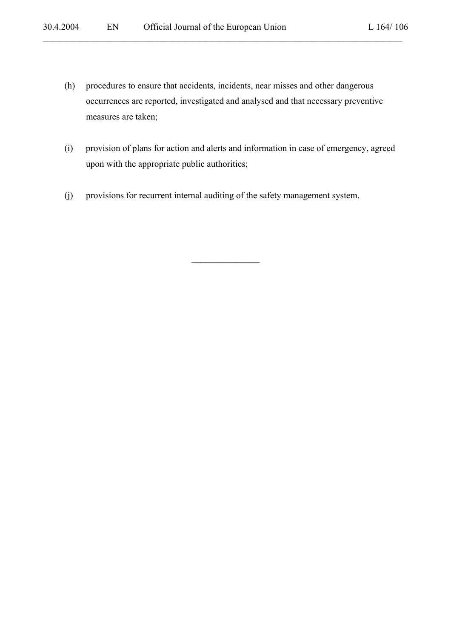(h) procedures to ensure that accidents, incidents, near misses and other dangerous occurrences are reported, investigated and analysed and that necessary preventive measures are taken;

 $\mathcal{L}_\mathcal{L} = \{ \mathcal{L}_\mathcal{L} = \{ \mathcal{L}_\mathcal{L} = \{ \mathcal{L}_\mathcal{L} = \{ \mathcal{L}_\mathcal{L} = \{ \mathcal{L}_\mathcal{L} = \{ \mathcal{L}_\mathcal{L} = \{ \mathcal{L}_\mathcal{L} = \{ \mathcal{L}_\mathcal{L} = \{ \mathcal{L}_\mathcal{L} = \{ \mathcal{L}_\mathcal{L} = \{ \mathcal{L}_\mathcal{L} = \{ \mathcal{L}_\mathcal{L} = \{ \mathcal{L}_\mathcal{L} = \{ \mathcal{L}_\mathcal{$ 

(i) provision of plans for action and alerts and information in case of emergency, agreed upon with the appropriate public authorities;

 $\overline{\phantom{a}}$  , where  $\overline{\phantom{a}}$ 

(j) provisions for recurrent internal auditing of the safety management system.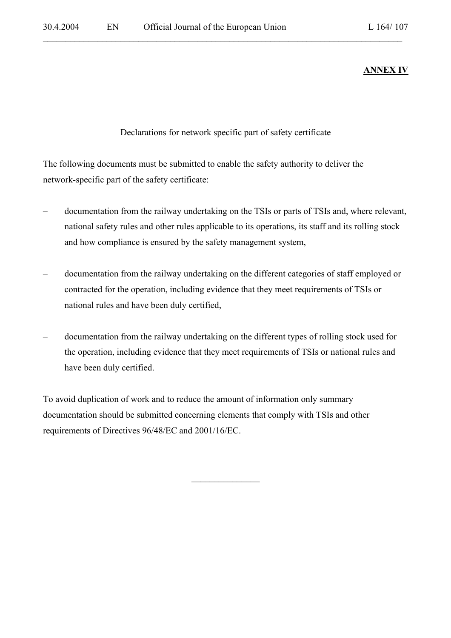# **ANNEX IV**

# Declarations for network specific part of safety certificate

 $\mathcal{L}_\mathcal{L} = \{ \mathcal{L}_\mathcal{L} = \{ \mathcal{L}_\mathcal{L} = \{ \mathcal{L}_\mathcal{L} = \{ \mathcal{L}_\mathcal{L} = \{ \mathcal{L}_\mathcal{L} = \{ \mathcal{L}_\mathcal{L} = \{ \mathcal{L}_\mathcal{L} = \{ \mathcal{L}_\mathcal{L} = \{ \mathcal{L}_\mathcal{L} = \{ \mathcal{L}_\mathcal{L} = \{ \mathcal{L}_\mathcal{L} = \{ \mathcal{L}_\mathcal{L} = \{ \mathcal{L}_\mathcal{L} = \{ \mathcal{L}_\mathcal{$ 

The following documents must be submitted to enable the safety authority to deliver the network-specific part of the safety certificate:

- documentation from the railway undertaking on the TSIs or parts of TSIs and, where relevant, national safety rules and other rules applicable to its operations, its staff and its rolling stock and how compliance is ensured by the safety management system,
- documentation from the railway undertaking on the different categories of staff employed or contracted for the operation, including evidence that they meet requirements of TSIs or national rules and have been duly certified,
- documentation from the railway undertaking on the different types of rolling stock used for the operation, including evidence that they meet requirements of TSIs or national rules and have been duly certified.

 $\overline{\phantom{a}}$  , where  $\overline{\phantom{a}}$ 

To avoid duplication of work and to reduce the amount of information only summary documentation should be submitted concerning elements that comply with TSIs and other requirements of Directives 96/48/EC and 2001/16/EC.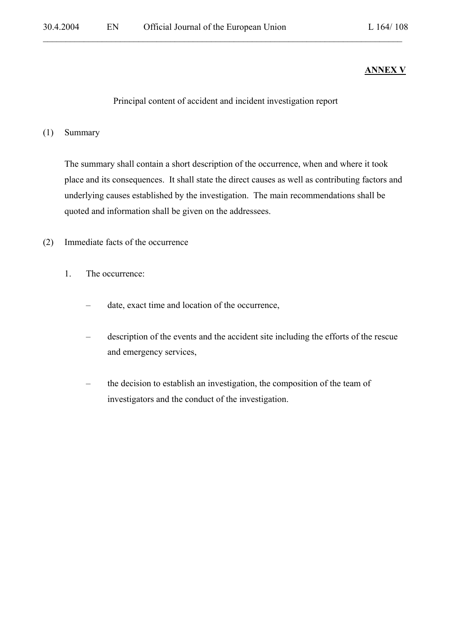# **ANNEX V**

### Principal content of accident and incident investigation report

 $\mathcal{L}_\mathcal{L} = \{ \mathcal{L}_\mathcal{L} = \{ \mathcal{L}_\mathcal{L} = \{ \mathcal{L}_\mathcal{L} = \{ \mathcal{L}_\mathcal{L} = \{ \mathcal{L}_\mathcal{L} = \{ \mathcal{L}_\mathcal{L} = \{ \mathcal{L}_\mathcal{L} = \{ \mathcal{L}_\mathcal{L} = \{ \mathcal{L}_\mathcal{L} = \{ \mathcal{L}_\mathcal{L} = \{ \mathcal{L}_\mathcal{L} = \{ \mathcal{L}_\mathcal{L} = \{ \mathcal{L}_\mathcal{L} = \{ \mathcal{L}_\mathcal{$ 

#### (1) Summary

The summary shall contain a short description of the occurrence, when and where it took place and its consequences. It shall state the direct causes as well as contributing factors and underlying causes established by the investigation. The main recommendations shall be quoted and information shall be given on the addressees.

- (2) Immediate facts of the occurrence
	- 1. The occurrence:
		- date, exact time and location of the occurrence,
		- description of the events and the accident site including the efforts of the rescue and emergency services,
		- the decision to establish an investigation, the composition of the team of investigators and the conduct of the investigation.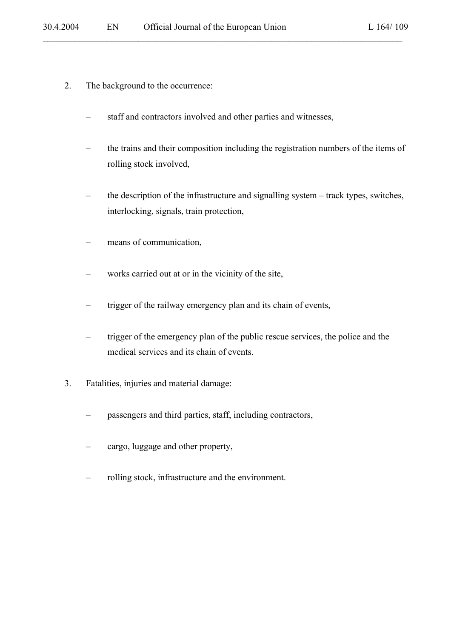- 2. The background to the occurrence:
	- staff and contractors involved and other parties and witnesses,

- the trains and their composition including the registration numbers of the items of rolling stock involved,
- the description of the infrastructure and signalling system track types, switches, interlocking, signals, train protection,
- means of communication,
- works carried out at or in the vicinity of the site,
- trigger of the railway emergency plan and its chain of events,
- trigger of the emergency plan of the public rescue services, the police and the medical services and its chain of events.
- 3. Fatalities, injuries and material damage:
	- passengers and third parties, staff, including contractors,
	- cargo, luggage and other property,
	- rolling stock, infrastructure and the environment.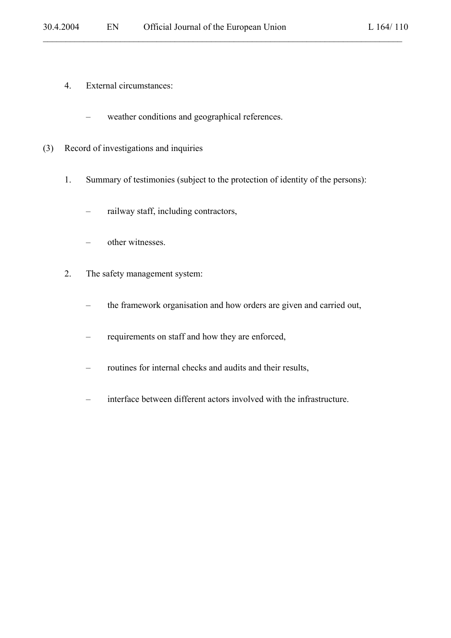- 4. External circumstances:
	- weather conditions and geographical references.
- (3) Record of investigations and inquiries
	- 1. Summary of testimonies (subject to the protection of identity of the persons):

- railway staff, including contractors,
- other witnesses.
- 2. The safety management system:
	- the framework organisation and how orders are given and carried out,
	- requirements on staff and how they are enforced,
	- routines for internal checks and audits and their results,
	- interface between different actors involved with the infrastructure.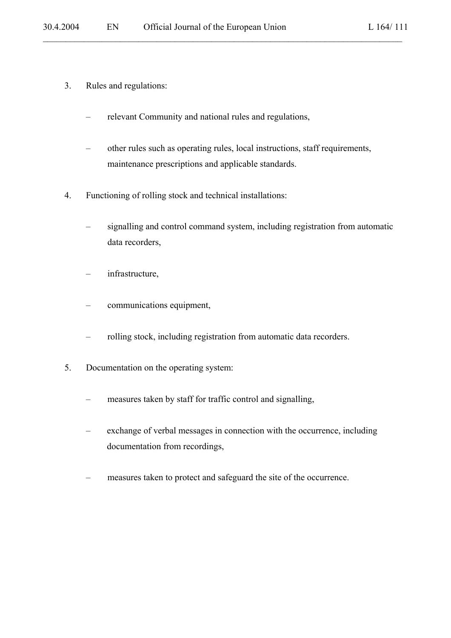- 3. Rules and regulations:
	- relevant Community and national rules and regulations,
	- other rules such as operating rules, local instructions, staff requirements, maintenance prescriptions and applicable standards.

- 4. Functioning of rolling stock and technical installations:
	- signalling and control command system, including registration from automatic data recorders,
	- infrastructure,
	- communications equipment,
	- rolling stock, including registration from automatic data recorders.
- 5. Documentation on the operating system:
	- measures taken by staff for traffic control and signalling,
	- exchange of verbal messages in connection with the occurrence, including documentation from recordings,
	- measures taken to protect and safeguard the site of the occurrence.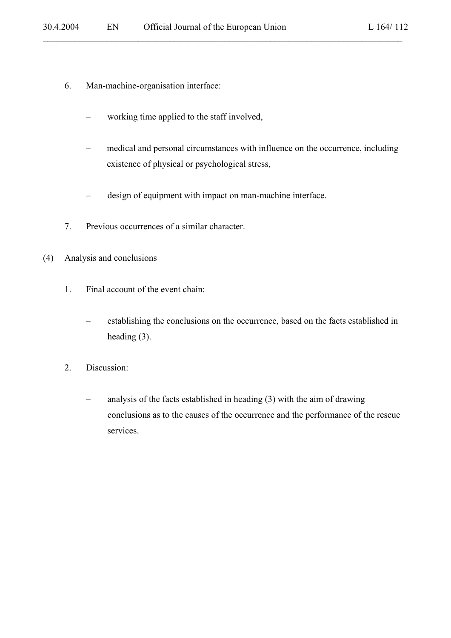- 6. Man-machine-organisation interface:
	- working time applied to the staff involved,
	- medical and personal circumstances with influence on the occurrence, including existence of physical or psychological stress,

- design of equipment with impact on man-machine interface.
- 7. Previous occurrences of a similar character.
- (4) Analysis and conclusions
	- 1. Final account of the event chain:
		- establishing the conclusions on the occurrence, based on the facts established in heading (3).
	- 2. Discussion:
		- analysis of the facts established in heading (3) with the aim of drawing conclusions as to the causes of the occurrence and the performance of the rescue services.